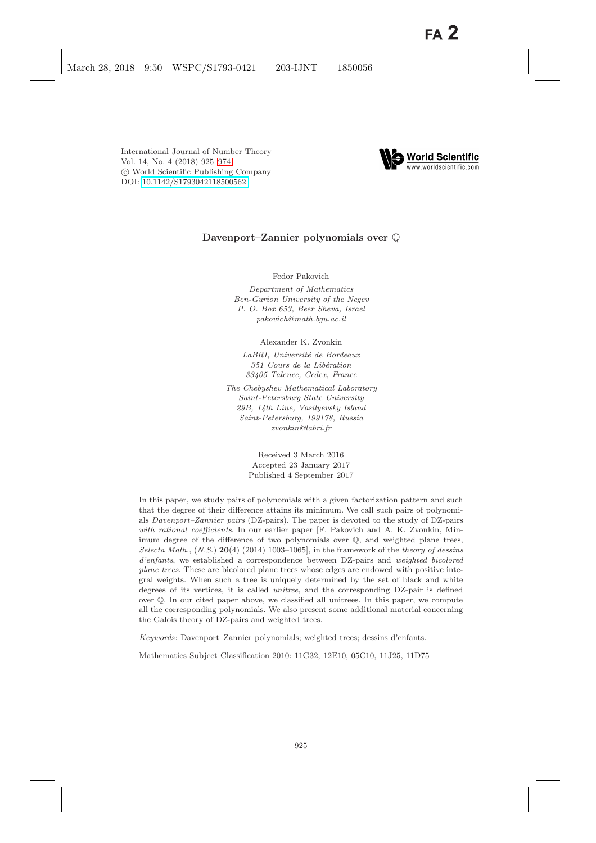

# **Davenport–Zannier polynomials over** Q

Fedor Pakovich

Department of Mathematics Ben-Gurion University of the Negev P. O. Box 653, Beer Sheva, Israel pakovich@math.bgu.ac.il

Alexander K. Zvonkin

LaBRI, Université de Bordeaux 351 Cours de la Libération 33405 Talence, Cedex, France

The Chebyshev Mathematical Laboratory Saint-Petersburg State University 29B, 14th Line, Vasilyevsky Island Saint-Petersburg, 199178, Russia zvonkin@labri.fr

> Received 3 March 2016 Accepted 23 January 2017 Published 4 September 2017

In this paper, we study pairs of polynomials with a given factorization pattern and such that the degree of their difference attains its minimum. We call such pairs of polynomials Davenport–Zannier pairs (DZ-pairs). The paper is devoted to the study of DZ-pairs with rational coefficients. In our earlier paper [F. Pakovich and A. K. Zvonkin, Minimum degree of the difference of two polynomials over Q, and weighted plane trees, Selecta Math.,  $(N.S.)$  **20**(4) (2014) 1003–1065], in the framework of the theory of dessins d'enfants, we established a correspondence between DZ-pairs and weighted bicolored plane trees. These are bicolored plane trees whose edges are endowed with positive integral weights. When such a tree is uniquely determined by the set of black and white degrees of its vertices, it is called unitree, and the corresponding DZ-pair is defined over Q. In our cited paper above, we classified all unitrees. In this paper, we compute all the corresponding polynomials. We also present some additional material concerning the Galois theory of DZ-pairs and weighted trees.

Keywords: Davenport–Zannier polynomials; weighted trees; dessins d'enfants.

Mathematics Subject Classification 2010: 11G32, 12E10, 05C10, 11J25, 11D75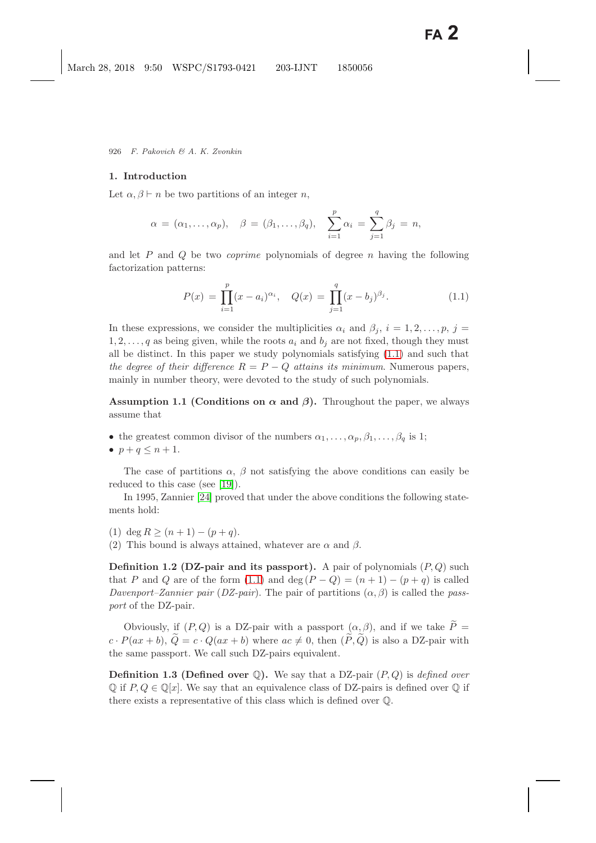### **1. Introduction**

Let  $\alpha, \beta \vdash n$  be two partitions of an integer n,

$$
\alpha = (\alpha_1, \ldots, \alpha_p), \quad \beta = (\beta_1, \ldots, \beta_q), \quad \sum_{i=1}^p \alpha_i = \sum_{j=1}^q \beta_j = n,
$$

and let P and Q be two *coprime* polynomials of degree n having the following factorization patterns:

$$
P(x) = \prod_{i=1}^{p} (x - a_i)^{\alpha_i}, \quad Q(x) = \prod_{j=1}^{q} (x - b_j)^{\beta_j}.
$$
 (1.1)

<span id="page-1-2"></span><span id="page-1-0"></span>In these expressions, we consider the multiplicities  $\alpha_i$  and  $\beta_j$ ,  $i = 1, 2, \ldots, p$ ,  $j =$  $1, 2, \ldots, q$  as being given, while the roots  $a_i$  and  $b_j$  are not fixed, though they must all be distinct. In this paper we study polynomials satisfying [\(1.1\)](#page-1-0) and such that *the degree of their difference*  $R = P - Q$  *attains its minimum.* Numerous papers, mainly in number theory, were devoted to the study of such polynomials.

<span id="page-1-1"></span>**Assumption 1.1 (Conditions on**  $\alpha$  and  $\beta$ ). Throughout the paper, we always assume that

• the greatest common divisor of the numbers  $\alpha_1, \ldots, \alpha_p, \beta_1, \ldots, \beta_q$  is 1;

 $\bullet$   $p+q \leq n+1$ .

The case of partitions  $\alpha$ ,  $\beta$  not satisfying the above conditions can easily be reduced to this case (see [\[19\]](#page-49-0)).

In 1995, Zannier [\[24\]](#page-49-1) proved that under the above conditions the following statements hold:

- (1) deg  $R > (n+1) (p+q)$ .
- <span id="page-1-3"></span>(2) This bound is always attained, whatever are  $\alpha$  and  $\beta$ .

**Definition 1.2 (DZ-pair and its passport).** A pair of polynomials  $(P,Q)$  such that P and Q are of the form [\(1.1\)](#page-1-0) and deg  $(P - Q) = (n + 1) - (p + q)$  is called *Davenport–Zannier pair* (*DZ-pair*). The pair of partitions  $(\alpha, \beta)$  is called the *passport* of the DZ-pair.

Obviously, if  $(P,Q)$  is a DZ-pair with a passport  $(\alpha, \beta)$ , and if we take  $\widetilde{P} =$  $c \cdot P(ax + b), \, \widetilde{Q} = c \cdot Q(ax + b)$  where  $ac \neq 0$ , then  $(\widetilde{P}, \widetilde{Q})$  is also a DZ-pair with the same passport. We call such DZ-pairs equivalent.

**Definition 1.3 (Defined over**  $\mathbb{Q}$ ). We say that a DZ-pair  $(P, Q)$  is *defined over*  $\mathbb{Q}$  if  $P, Q \in \mathbb{Q}[x]$ . We say that an equivalence class of DZ-pairs is defined over  $\mathbb{Q}$  if there exists a representative of this class which is defined over Q.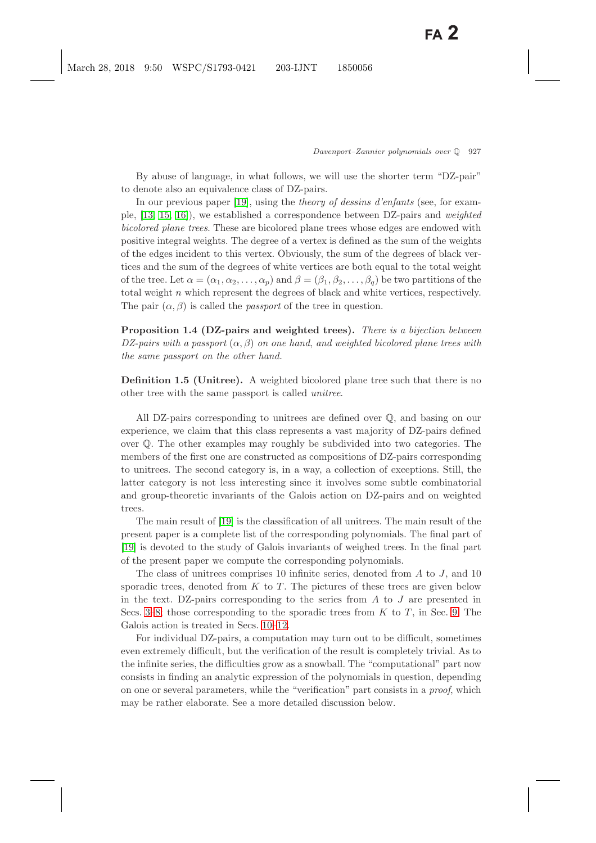By abuse of language, in what follows, we will use the shorter term "DZ-pair" to denote also an equivalence class of DZ-pairs.

In our previous paper [\[19\]](#page-49-2), using the *theory of dessins d'enfants* (see, for example, [\[13,](#page-49-3) [15,](#page-49-4) [16\]](#page-49-5)), we established a correspondence between DZ-pairs and *weighted bicolored plane trees*. These are bicolored plane trees whose edges are endowed with positive integral weights. The degree of a vertex is defined as the sum of the weights of the edges incident to this vertex. Obviously, the sum of the degrees of black vertices and the sum of the degrees of white vertices are both equal to the total weight of the tree. Let  $\alpha = (\alpha_1, \alpha_2, \dots, \alpha_p)$  and  $\beta = (\beta_1, \beta_2, \dots, \beta_q)$  be two partitions of the total weight  $n$  which represent the degrees of black and white vertices, respectively. The pair  $(\alpha, \beta)$  is called the *passport* of the tree in question.

**Proposition 1.4 (DZ-pairs and weighted trees).** *There is a bijection between*  $DZ$ -pairs with a passport  $(\alpha, \beta)$  on one hand, and weighted bicolored plane trees with *the same passport on the other hand.*

**Definition 1.5 (Unitree).** A weighted bicolored plane tree such that there is no other tree with the same passport is called *unitree*.

All DZ-pairs corresponding to unitrees are defined over Q, and basing on our experience, we claim that this class represents a vast majority of DZ-pairs defined over Q. The other examples may roughly be subdivided into two categories. The members of the first one are constructed as compositions of DZ-pairs corresponding to unitrees. The second category is, in a way, a collection of exceptions. Still, the latter category is not less interesting since it involves some subtle combinatorial and group-theoretic invariants of the Galois action on DZ-pairs and on weighted trees.

The main result of [\[19\]](#page-49-2) is the classification of all unitrees. The main result of the present paper is a complete list of the corresponding polynomials. The final part of [\[19\]](#page-49-2) is devoted to the study of Galois invariants of weighed trees. In the final part of the present paper we compute the corresponding polynomials.

The class of unitrees comprises 10 infinite series, denoted from  $A$  to  $J$ , and 10 sporadic trees, denoted from  $K$  to  $T$ . The pictures of these trees are given below in the text. DZ-pairs corresponding to the series from  $A$  to  $J$  are presented in Secs. [3–](#page-9-0)[8;](#page-31-0) those corresponding to the sporadic trees from  $K$  to  $T$ , in Sec. [9.](#page-33-0) The Galois action is treated in Secs. [10–](#page-37-0)[12.](#page-46-0)

For individual DZ-pairs, a computation may turn out to be difficult, sometimes even extremely difficult, but the verification of the result is completely trivial. As to the infinite series, the difficulties grow as a snowball. The "computational" part now consists in finding an analytic expression of the polynomials in question, depending on one or several parameters, while the "verification" part consists in a *proof*, which may be rather elaborate. See a more detailed discussion below.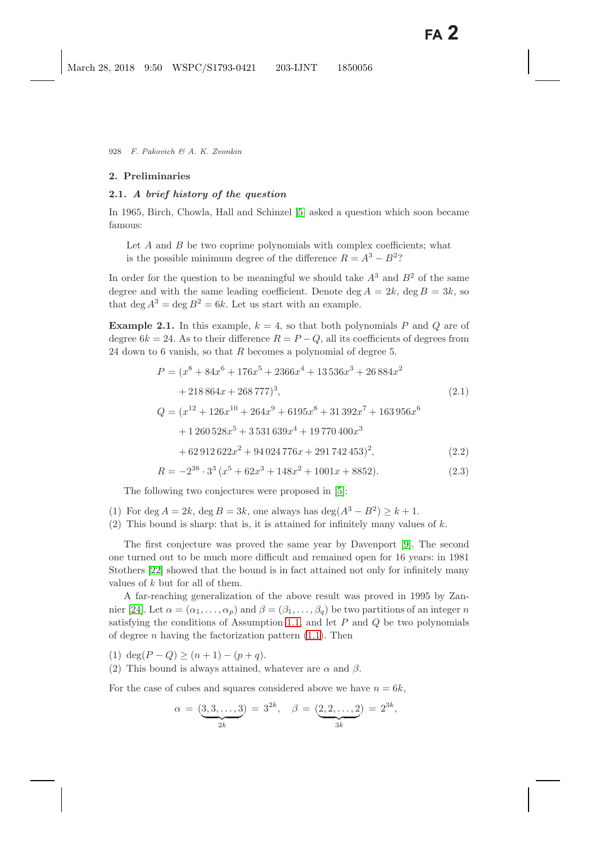### **2. Preliminaries**

## **2.1.** *A brief history of the question*

In 1965, Birch, Chowla, Hall and Schinzel [\[5\]](#page-48-1) asked a question which soon became famous:

Let  $A$  and  $B$  be two coprime polynomials with complex coefficients; what is the possible minimum degree of the difference  $R = A^3 - B^2$ ?

In order for the question to be meaningful we should take  $A<sup>3</sup>$  and  $B<sup>2</sup>$  of the same degree and with the same leading coefficient. Denote deg  $A = 2k$ , deg  $B = 3k$ , so that deg  $A^3 = \text{deg } B^2 = 6k$ . Let us start with an example.

<span id="page-3-2"></span><span id="page-3-1"></span><span id="page-3-0"></span>**Example 2.1.** In this example,  $k = 4$ , so that both polynomials P and Q are of degree  $6k = 24$ . As to their difference  $R = P - Q$ , all its coefficients of degrees from 24 down to 6 vanish, so that  $R$  becomes a polynomial of degree 5.

$$
P = (x^8 + 84x^6 + 176x^5 + 2366x^4 + 13536x^3 + 26884x^2
$$
  
+ 218864x + 268777)<sup>3</sup>, (2.1)  

$$
Q = (x^{12} + 126x^{10} + 264x^9 + 6195x^8 + 31392x^7 + 163956x^6
$$
  
+ 1260528x<sup>5</sup> + 3531639x<sup>4</sup> + 19770400x<sup>3</sup>  
+ 62912622x<sup>2</sup> + 94024776x + 291742453)<sup>2</sup>, (2.2)  

$$
R = -2^{38} \cdot 3^3 (x^5 + 62x^3 + 148x^2 + 1001x + 8852).
$$
 (2.3)

The following two conjectures were proposed in [\[5\]](#page-48-1):

- (1) For deg  $A = 2k$ , deg  $B = 3k$ , one always has deg( $A^3 B^2$ ) ≥ k + 1.
- (2) This bound is sharp: that is, it is attained for infinitely many values of  $k$ .

The first conjecture was proved the same year by Davenport [\[9\]](#page-48-2). The second one turned out to be much more difficult and remained open for 16 years: in 1981 Stothers [\[22\]](#page-49-6) showed that the bound is in fact attained not only for infinitely many values of k but for all of them.

A far-reaching generalization of the above result was proved in 1995 by Zan-nier [\[24\]](#page-49-1). Let  $\alpha = (\alpha_1, \ldots, \alpha_p)$  and  $\beta = (\beta_1, \ldots, \beta_q)$  be two partitions of an integer n satisfying the conditions of Assumption [1.1,](#page-1-1) and let  $P$  and  $Q$  be two polynomials of degree *n* having the factorization pattern  $(1.1)$ . Then

(1) deg( $P - Q$ ) ≥ ( $n + 1$ ) – ( $p + q$ ).

(2) This bound is always attained, whatever are  $\alpha$  and  $\beta$ .

For the case of cubes and squares considered above we have  $n = 6k$ ,

$$
\alpha = (\underbrace{3,3,\ldots,3}_{2k}) = 3^{2k}, \quad \beta = (\underbrace{2,2,\ldots,2}_{3k}) = 2^{3k},
$$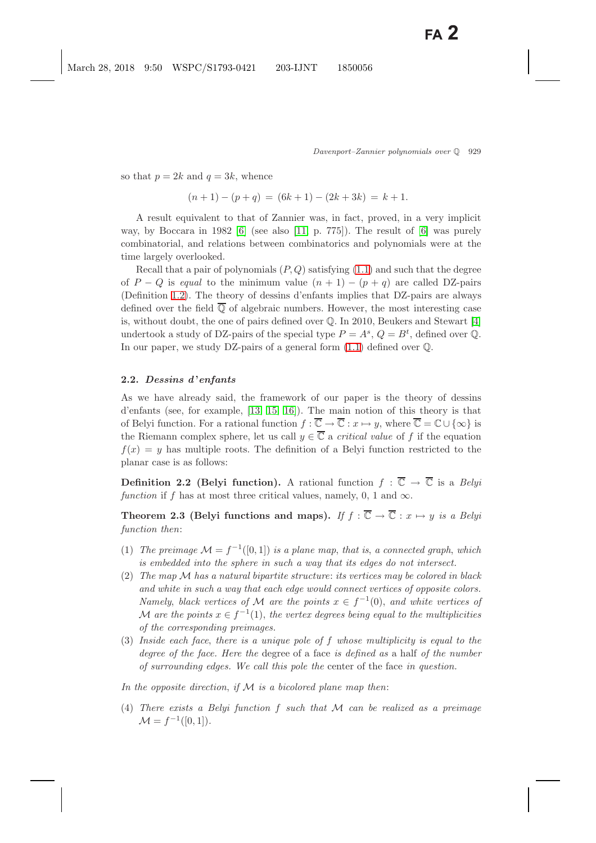so that  $p = 2k$  and  $q = 3k$ , whence

$$
(n+1) - (p+q) = (6k+1) - (2k+3k) = k+1.
$$

A result equivalent to that of Zannier was, in fact, proved, in a very implicit way, by Boccara in 1982  $[6]$  (see also  $[11, p. 775]$  $[11, p. 775]$ ). The result of  $[6]$  was purely combinatorial, and relations between combinatorics and polynomials were at the time largely overlooked.

Recall that a pair of polynomials  $(P, Q)$  satisfying  $(1.1)$  and such that the degree of  $P - Q$  is *equal* to the minimum value  $(n + 1) - (p + q)$  are called DZ-pairs (Definition [1.2\)](#page-1-3). The theory of dessins d'enfants implies that DZ-pairs are always defined over the field  $\overline{Q}$  of algebraic numbers. However, the most interesting case is, without doubt, the one of pairs defined over Q. In 2010, Beukers and Stewart [\[4\]](#page-48-4) undertook a study of DZ-pairs of the special type  $P = A^s$ ,  $Q = B^t$ , defined over Q. In our paper, we study DZ-pairs of a general form [\(1.1\)](#page-1-2) defined over Q.

## **2.2.** *Dessins d* **'***enfants*

As we have already said, the framework of our paper is the theory of dessins d'enfants (see, for example, [\[13,](#page-49-3) [15,](#page-49-4) [16\]](#page-49-5)). The main notion of this theory is that of Belyi function. For a rational function  $f : \overline{\mathbb{C}} \to \overline{\mathbb{C}} : x \mapsto y$ , where  $\overline{\mathbb{C}} = \mathbb{C} \cup {\infty}$  is the Riemann complex sphere, let us call  $y \in \overline{C}$  a *critical value* of f if the equation  $f(x) = y$  has multiple roots. The definition of a Belyi function restricted to the planar case is as follows:

**Definition 2.2 (Belyi function).** A rational function  $f : \overline{\mathbb{C}} \to \overline{\mathbb{C}}$  is a *Belyi function* if f has at most three critical values, namely, 0, 1 and  $\infty$ .

<span id="page-4-0"></span>**Theorem 2.3 (Belyi functions and maps).** *If*  $f : \overline{\mathbb{C}} \to \overline{\mathbb{C}} : x \mapsto y$  *is a Belyi function then*:

- (1) *The preimage*  $\mathcal{M} = f^{-1}([0,1])$  *is a plane map, that is, a connected graph, which is embedded into the sphere in such a way that its edges do not intersect.*
- (2) *The map* M *has a natural bipartite structure*: *its vertices may be colored in black and white in such a way that each edge would connect vertices of opposite colors. Namely, black vertices of* M *are the points*  $x \in f^{-1}(0)$ *, and white vertices of* M are the points  $x \in f^{-1}(1)$ , the vertex degrees being equal to the multiplicities *of the corresponding preimages.*
- (3) *Inside each face*, *there is a unique pole of* f *whose multiplicity is equal to the degree of the face. Here the* degree of a face *is defined as* a half *of the number of surrounding edges. We call this pole the* center of the face *in question.*

*In the opposite direction*, *if* M *is a bicolored plane map then*:

(4) *There exists a Belyi function* f *such that* M *can be realized as a preimage*  $\mathcal{M} = f^{-1}([0, 1]).$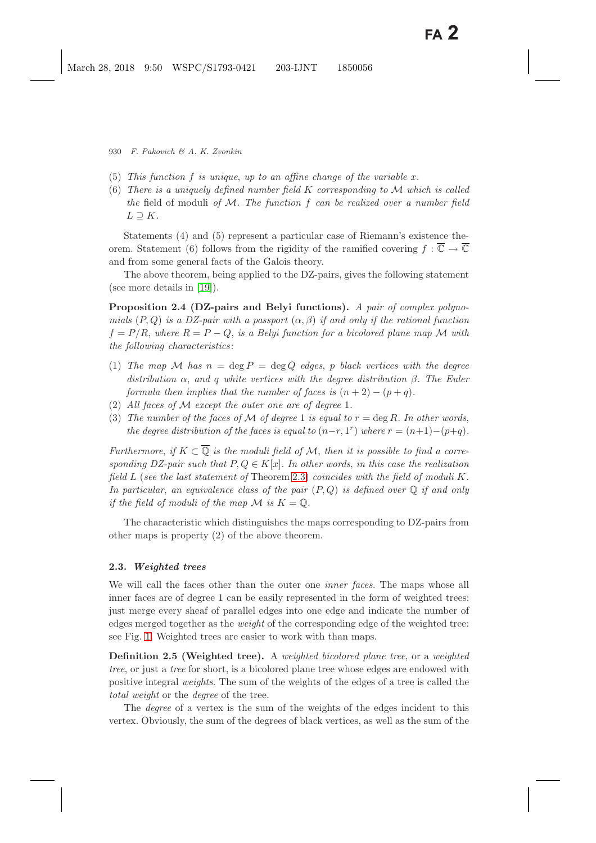- (5) *This function* f *is unique*, *up to an affine change of the variable* x*.*
- (6) *There is a uniquely defined number field* K *corresponding to* M *which is called the* field of moduli *of* M*. The function* f *can be realized over a number field*  $L \supset K$ .

Statements (4) and (5) represent a particular case of Riemann's existence theorem. Statement (6) follows from the rigidity of the ramified covering  $f : \overline{\mathbb{C}} \to \overline{\mathbb{C}}$ and from some general facts of the Galois theory.

<span id="page-5-0"></span>The above theorem, being applied to the DZ-pairs, gives the following statement (see more details in [\[19\]](#page-49-0)).

**Proposition 2.4 (DZ-pairs and Belyi functions).** *A pair of complex polynomials*  $(P,Q)$  *is a DZ-pair with a passport*  $(\alpha, \beta)$  *if and only if the rational function*  $f = P/R$ , where  $R = P - Q$ , is a Belyi function for a bicolored plane map M with *the following characteristics*:

- (1) *The map* M *has* n = deg P = deg Q *edges*, p *black vertices with the degree distribution* α, *and* q *white vertices with the degree distribution* β*. The Euler formula then implies that the number of faces is*  $(n+2) - (p+q)$ .
- (2) *All faces of* M *except the outer one are of degree* 1*.*
- (3) The number of the faces of M of degree 1 is equal to  $r = \deg R$ . In other words, *the degree distribution of the faces is equal to*  $(n-r, 1^r)$  *where*  $r = (n+1)-(p+q)$ *.*

*Furthermore, if*  $K \subset \overline{Q}$  *is the moduli field of* M, *then it is possible to find a corresponding DZ-pair such that*  $P, Q \in K[x]$ *. In other words, in this case the realization field* L (*see the last statement of* Theorem [2.3\)](#page-4-0) *coincides with the field of moduli* K*. In particular*, *an equivalence class of the pair* (P, Q) *is defined over* Q *if and only if the field of moduli of the map*  $\mathcal{M}$  *is*  $K = \mathbb{O}$ .

The characteristic which distinguishes the maps corresponding to DZ-pairs from other maps is property (2) of the above theorem.

#### **2.3.** *Weighted trees*

We will call the faces other than the outer one *inner faces*. The maps whose all inner faces are of degree 1 can be easily represented in the form of weighted trees: just merge every sheaf of parallel edges into one edge and indicate the number of edges merged together as the *weight* of the corresponding edge of the weighted tree: see Fig. [1.](#page-6-0) Weighted trees are easier to work with than maps.

<span id="page-5-1"></span>**Definition 2.5 (Weighted tree).** A *weighted bicolored plane tree*, or a *weighted tree*, or just a *tree* for short, is a bicolored plane tree whose edges are endowed with positive integral *weights*. The sum of the weights of the edges of a tree is called the *total weight* or the *degree* of the tree.

The *degree* of a vertex is the sum of the weights of the edges incident to this vertex. Obviously, the sum of the degrees of black vertices, as well as the sum of the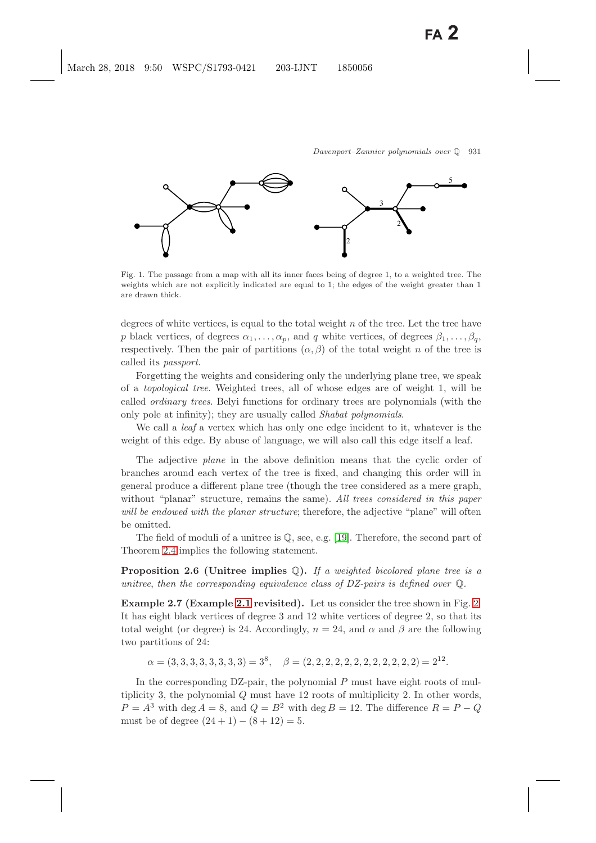

<span id="page-6-0"></span>Fig. 1. The passage from a map with all its inner faces being of degree 1, to a weighted tree. The weights which are not explicitly indicated are equal to 1; the edges of the weight greater than 1 are drawn thick.

degrees of white vertices, is equal to the total weight  $n$  of the tree. Let the tree have p black vertices, of degrees  $\alpha_1, \ldots, \alpha_p$ , and q white vertices, of degrees  $\beta_1, \ldots, \beta_q$ , respectively. Then the pair of partitions  $(\alpha, \beta)$  of the total weight n of the tree is called its *passport*.

Forgetting the weights and considering only the underlying plane tree, we speak of a *topological tree*. Weighted trees, all of whose edges are of weight 1, will be called *ordinary trees*. Belyi functions for ordinary trees are polynomials (with the only pole at infinity); they are usually called *Shabat polynomials*.

We call a *leaf* a vertex which has only one edge incident to it, whatever is the weight of this edge. By abuse of language, we will also call this edge itself a leaf.

The adjective *plane* in the above definition means that the cyclic order of branches around each vertex of the tree is fixed, and changing this order will in general produce a different plane tree (though the tree considered as a mere graph, without "planar" structure, remains the same). *All trees considered in this paper will be endowed with the planar structure*; therefore, the adjective "plane" will often be omitted.

The field of moduli of a unitree is  $\mathbb{Q}$ , see, e.g. [\[19\]](#page-49-2). Therefore, the second part of Theorem [2.4](#page-5-0) implies the following statement.

**Proposition 2.6 (Unitree implies** Q**).** *If a weighted bicolored plane tree is a unitree*, *then the corresponding equivalence class of DZ-pairs is defined over* Q*.*

<span id="page-6-1"></span>**Example 2.7 (Example [2.1](#page-3-0) revisited).** Let us consider the tree shown in Fig. [2.](#page-7-0) It has eight black vertices of degree 3 and 12 white vertices of degree 2, so that its total weight (or degree) is 24. Accordingly,  $n = 24$ , and  $\alpha$  and  $\beta$  are the following two partitions of 24:

 $\alpha = (3, 3, 3, 3, 3, 3, 3, 3) = 3^8$ ,  $\beta = (2, 2, 2, 2, 2, 2, 2, 2, 2, 2, 2, 2, 2) = 2^{12}$ .

In the corresponding  $DZ$ -pair, the polynomial  $P$  must have eight roots of multiplicity 3, the polynomial Q must have 12 roots of multiplicity 2. In other words,  $P = A<sup>3</sup>$  with deg  $A = 8$ , and  $Q = B<sup>2</sup>$  with deg  $B = 12$ . The difference  $R = P - Q$ must be of degree  $(24 + 1) - (8 + 12) = 5$ .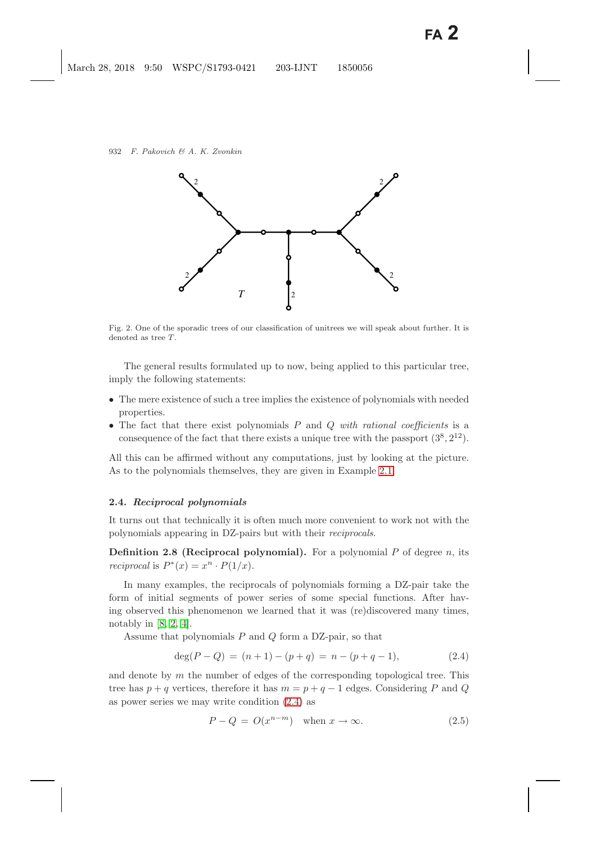

<span id="page-7-0"></span>Fig. 2. One of the sporadic trees of our classification of unitrees we will speak about further. It is denoted as tree *T*.

The general results formulated up to now, being applied to this particular tree, imply the following statements:

- The mere existence of such a tree implies the existence of polynomials with needed properties.
- The fact that there exist polynomials P and Q *with rational coefficients* is a consequence of the fact that there exists a unique tree with the passport  $(3^8, 2^{12})$ .

All this can be affirmed without any computations, just by looking at the picture. As to the polynomials themselves, they are given in Example [2.1.](#page-3-1)

### **2.4.** *Reciprocal polynomials*

It turns out that technically it is often much more convenient to work not with the polynomials appearing in DZ-pairs but with their *reciprocals*.

**Definition 2.8 (Reciprocal polynomial).** For a polynomial P of degree n, its *reciprocal* is  $P^*(x) = x^n \cdot P(1/x)$ .

In many examples, the reciprocals of polynomials forming a DZ-pair take the form of initial segments of power series of some special functions. After having observed this phenomenon we learned that it was (re)discovered many times, notably in  $[8, 2, 4]$  $[8, 2, 4]$  $[8, 2, 4]$ .

Assume that polynomials  $P$  and  $Q$  form a DZ-pair, so that

$$
deg(P - Q) = (n + 1) - (p + q) = n - (p + q - 1),
$$
\n(2.4)

<span id="page-7-3"></span><span id="page-7-2"></span><span id="page-7-1"></span>and denote by  $m$  the number of edges of the corresponding topological tree. This tree has  $p + q$  vertices, therefore it has  $m = p + q - 1$  edges. Considering P and Q as power series we may write condition [\(2.4\)](#page-7-1) as

$$
P - Q = O(x^{n-m}) \quad \text{when } x \to \infty. \tag{2.5}
$$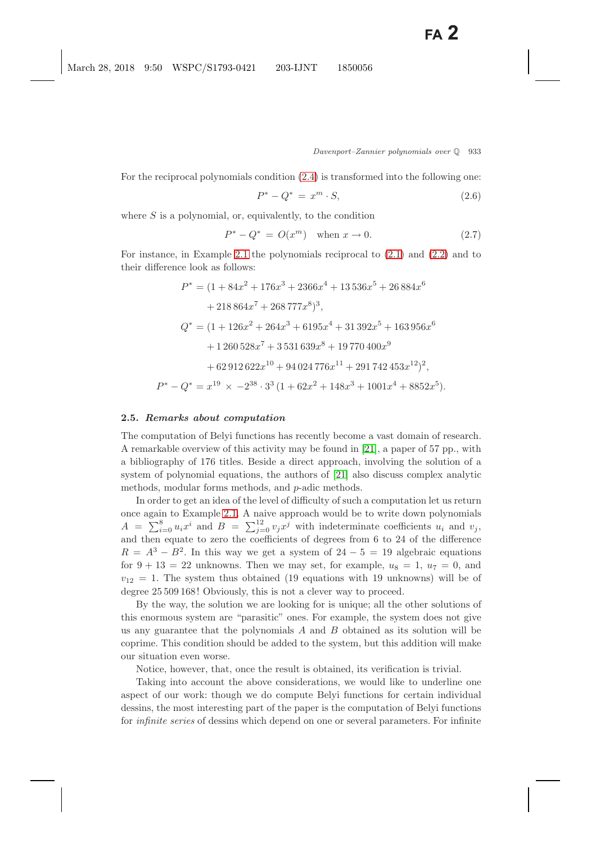For the reciprocal polynomials condition [\(2.4\)](#page-7-2) is transformed into the following one:

$$
P^* - Q^* = x^m \cdot S,
$$
\n(2.6)

<span id="page-8-0"></span>where  $S$  is a polynomial, or, equivalently, to the condition

$$
P^* - Q^* = O(x^m) \text{ when } x \to 0. \tag{2.7}
$$

For instance, in Example [2.1](#page-3-0) the polynomials reciprocal to [\(2.1\)](#page-3-2) and [\(2.2\)](#page-3-2) and to their difference look as follows:

$$
P^* = (1 + 84x^2 + 176x^3 + 2366x^4 + 13\,536x^5 + 26\,884x^6
$$
  
+ 218\,864x^7 + 268\,777x^8)^3,  

$$
Q^* = (1 + 126x^2 + 264x^3 + 6195x^4 + 31\,392x^5 + 163\,956x^6
$$
  
+ 1260\,528x^7 + 3\,531\,639x^8 + 19\,770\,400x^9  
+ 62\,912\,622x^{10} + 94\,024\,776x^{11} + 291\,742\,453x^{12})^2,  

$$
P^* - Q^* = x^{19} \times -2^{38} \cdot 3^3\,(1 + 62x^2 + 148x^3 + 1001x^4 + 8852x^5).
$$

#### <span id="page-8-2"></span><span id="page-8-1"></span>**2.5.** *Remarks about computation*

The computation of Belyi functions has recently become a vast domain of research. A remarkable overview of this activity may be found in [\[21\]](#page-49-8), a paper of 57 pp., with a bibliography of 176 titles. Beside a direct approach, involving the solution of a system of polynomial equations, the authors of [\[21\]](#page-49-8) also discuss complex analytic methods, modular forms methods, and p-adic methods.

In order to get an idea of the level of difficulty of such a computation let us return once again to Example [2.1.](#page-3-0) A naive approach would be to write down polynomials  $A = \sum_{i=0}^{8} u_i x^i$  and  $B = \sum_{j=0}^{12} v_j x^j$  with indeterminate coefficients  $u_i$  and  $v_j$ , and then equate to zero the coefficients of degrees from 6 to 24 of the difference  $R = A^{3} - B^{2}$ . In this way we get a system of  $24 - 5 = 19$  algebraic equations for  $9 + 13 = 22$  unknowns. Then we may set, for example,  $u_8 = 1$ ,  $u_7 = 0$ , and  $v_{12} = 1$ . The system thus obtained (19 equations with 19 unknowns) will be of degree 25 509 168! Obviously, this is not a clever way to proceed.

By the way, the solution we are looking for is unique; all the other solutions of this enormous system are "parasitic" ones. For example, the system does not give us any guarantee that the polynomials  $A$  and  $B$  obtained as its solution will be coprime. This condition should be added to the system, but this addition will make our situation even worse.

Notice, however, that, once the result is obtained, its verification is trivial.

Taking into account the above considerations, we would like to underline one aspect of our work: though we do compute Belyi functions for certain individual dessins, the most interesting part of the paper is the computation of Belyi functions for *infinite series* of dessins which depend on one or several parameters. For infinite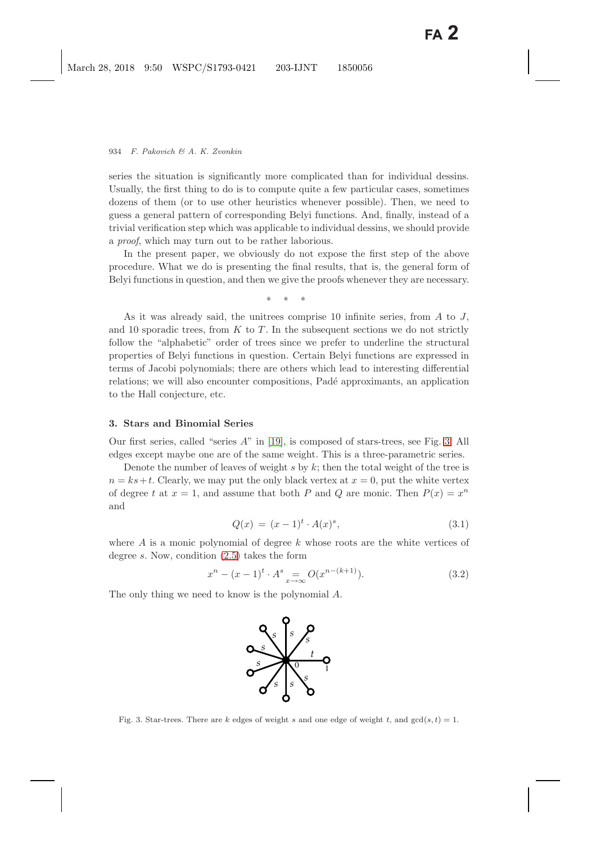series the situation is significantly more complicated than for individual dessins. Usually, the first thing to do is to compute quite a few particular cases, sometimes dozens of them (or to use other heuristics whenever possible). Then, we need to guess a general pattern of corresponding Belyi functions. And, finally, instead of a trivial verification step which was applicable to individual dessins, we should provide a *proof*, which may turn out to be rather laborious.

In the present paper, we obviously do not expose the first step of the above procedure. What we do is presenting the final results, that is, the general form of Belyi functions in question, and then we give the proofs whenever they are necessary.

∗∗∗

As it was already said, the unitrees comprise 10 infinite series, from  $A$  to  $J$ , and 10 sporadic trees, from  $K$  to  $T$ . In the subsequent sections we do not strictly follow the "alphabetic" order of trees since we prefer to underline the structural properties of Belyi functions in question. Certain Belyi functions are expressed in terms of Jacobi polynomials; there are others which lead to interesting differential relations; we will also encounter compositions, Padé approximants, an application to the Hall conjecture, etc.

### <span id="page-9-3"></span><span id="page-9-0"></span>**3. Stars and Binomial Series**

Our first series, called "series A" in [\[19\]](#page-49-0), is composed of stars-trees, see Fig. [3.](#page-9-1) All edges except maybe one are of the same weight. This is a three-parametric series.

Denote the number of leaves of weight s by k; then the total weight of the tree is  $n = ks+t$ . Clearly, we may put the only black vertex at  $x = 0$ , put the white vertex of degree t at  $x = 1$ , and assume that both P and Q are monic. Then  $P(x) = x^n$ and

$$
Q(x) = (x - 1)^t \cdot A(x)^s,
$$
\n(3.1)

where  $A$  is a monic polynomial of degree  $k$  whose roots are the white vertices of degree s. Now, condition [\(2.5\)](#page-7-3) takes the form

$$
x^{n} - (x - 1)^{t} \cdot A^{s} = O(x^{n - (k+1)}).
$$
 (3.2)

<span id="page-9-2"></span>The only thing we need to know is the polynomial A.



<span id="page-9-1"></span>Fig. 3. Star-trees. There are *k* edges of weight *s* and one edge of weight *t*, and  $gcd(s, t) = 1$ .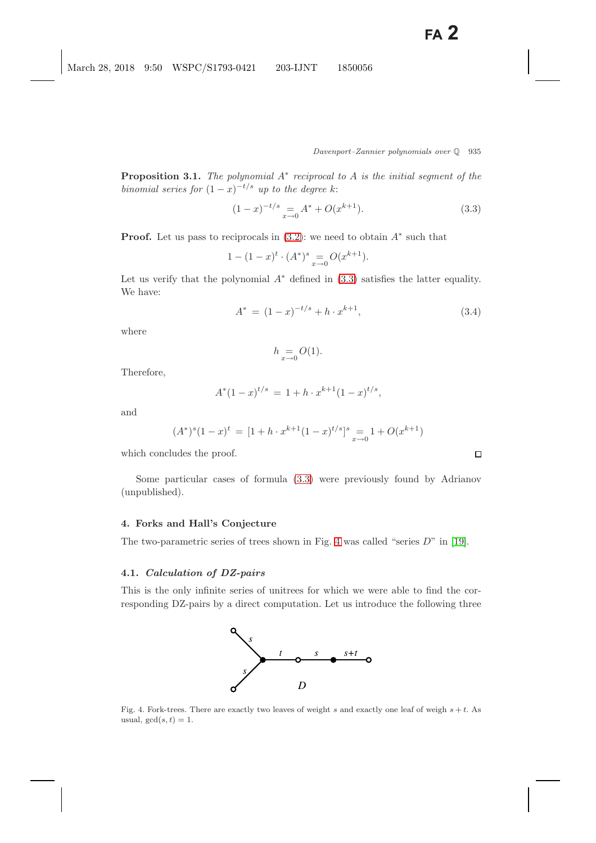$\Box$ 

<span id="page-10-0"></span>**Proposition 3.1.** *The polynomial* A<sup>∗</sup> *reciprocal to* A *is the initial segment of the binomial series for*  $(1-x)^{-t/s}$  *up to the degree k:* 

$$
(1-x)^{-t/s} = A^* + O(x^{k+1}).
$$
\n(3.3)

**Proof.** Let us pass to reciprocals in  $(3.2)$ : we need to obtain  $A^*$  such that

$$
1 - (1 - x)^t \cdot (A^*)^s = O(x^{k+1}).
$$

Let us verify that the polynomial  $A^*$  defined in  $(3.3)$  satisfies the latter equality. We have:

$$
A^* = (1-x)^{-t/s} + h \cdot x^{k+1}, \tag{3.4}
$$

where

$$
h \underset{x \to 0}{=} O(1).
$$

Therefore,

$$
A^*(1-x)^{t/s} = 1 + h \cdot x^{k+1} (1-x)^{t/s},
$$

and

$$
(A^*)^s (1-x)^t = [1+h \cdot x^{k+1} (1-x)^{t/s}]^s = 1 + O(x^{k+1})
$$

which concludes the proof.

Some particular cases of formula [\(3.3\)](#page-10-0) were previously found by Adrianov (unpublished).

### <span id="page-10-2"></span>**4. Forks and Hall's Conjecture**

The two-parametric series of trees shown in Fig. [4](#page-10-1) was called "series  $D$ " in [\[19\]](#page-49-2).

#### **4.1.** *Calculation of DZ-pairs*

This is the only infinite series of unitrees for which we were able to find the corresponding DZ-pairs by a direct computation. Let us introduce the following three



<span id="page-10-1"></span>Fig. 4. Fork-trees. There are exactly two leaves of weight *s* and exactly one leaf of weigh *s* + *t*. As usual,  $gcd(s, t) = 1$ .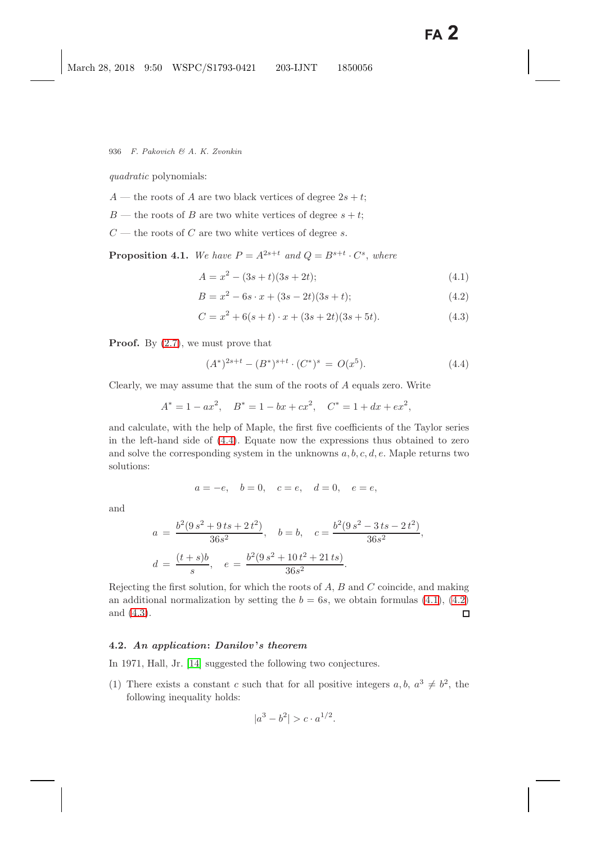*quadratic* polynomials:

- A the roots of A are two black vertices of degree  $2s + t$ ;
- $B$  the roots of B are two white vertices of degree  $s + t$ ;
- $C$  the roots of C are two white vertices of degree s.

<span id="page-11-2"></span><span id="page-11-1"></span>**Proposition 4.1.** We have  $P = A^{2s+t}$  and  $Q = B^{s+t} \cdot C^s$ , where

$$
A = x2 - (3s + t)(3s + 2t);
$$
\n(4.1)

$$
B = x2 - 6s \cdot x + (3s - 2t)(3s + t); \tag{4.2}
$$

$$
C = x2 + 6(s + t) \cdot x + (3s + 2t)(3s + 5t). \tag{4.3}
$$

<span id="page-11-0"></span>**Proof.** By  $(2.7)$ , we must prove that

$$
(A^*)^{2s+t} - (B^*)^{s+t} \cdot (C^*)^s = O(x^5). \tag{4.4}
$$

Clearly, we may assume that the sum of the roots of A equals zero. Write

$$
A^* = 1 - ax^2, \quad B^* = 1 - bx + cx^2, \quad C^* = 1 + dx + ex^2,
$$

and calculate, with the help of Maple, the first five coefficients of the Taylor series in the left-hand side of [\(4.4\)](#page-11-0). Equate now the expressions thus obtained to zero and solve the corresponding system in the unknowns  $a, b, c, d, e$ . Maple returns two solutions:

$$
a = -e
$$
,  $b = 0$ ,  $c = e$ ,  $d = 0$ ,  $e = e$ ,

and

$$
a = \frac{b^2(9s^2 + 9ts + 2t^2)}{36s^2}, \quad b = b, \quad c = \frac{b^2(9s^2 - 3ts - 2t^2)}{36s^2},
$$

$$
d = \frac{(t+s)b}{s}, \quad e = \frac{b^2(9s^2 + 10t^2 + 21ts)}{36s^2}.
$$

Rejecting the first solution, for which the roots of  $A, B$  and  $C$  coincide, and making an additional normalization by setting the  $b = 6s$ , we obtain formulas [\(4.1\)](#page-11-1), [\(4.2\)](#page-11-1) and [\(4.3\)](#page-11-1).  $\Box$ 

### **4.2.** *An application***:** *Danilov* **'***s theorem*

In 1971, Hall, Jr. [\[14\]](#page-49-9) suggested the following two conjectures.

(1) There exists a constant c such that for all positive integers  $a, b, a^3 \neq b^2$ , the following inequality holds:

$$
|a^3 - b^2| > c \cdot a^{1/2}.
$$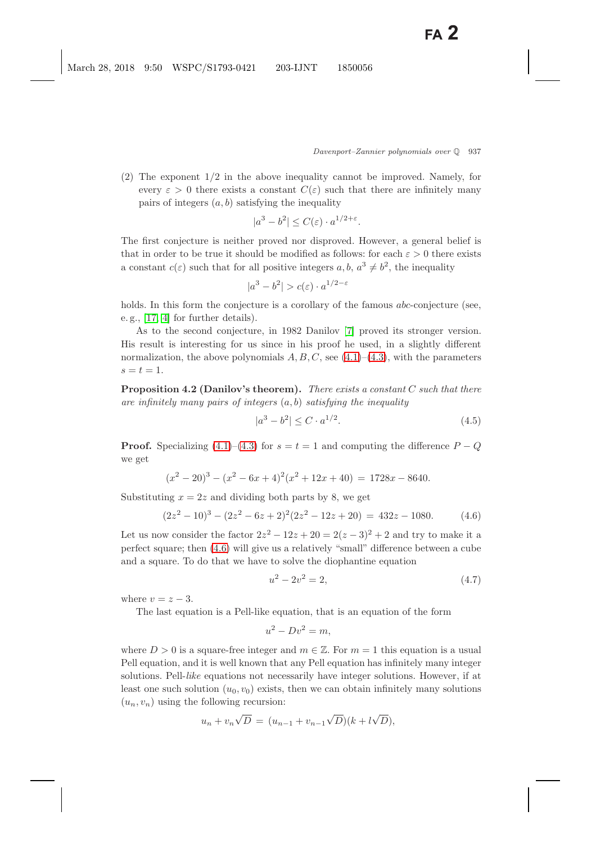(2) The exponent 1/2 in the above inequality cannot be improved. Namely, for every  $\varepsilon > 0$  there exists a constant  $C(\varepsilon)$  such that there are infinitely many pairs of integers  $(a, b)$  satisfying the inequality

$$
|a^3 - b^2| \le C(\varepsilon) \cdot a^{1/2 + \varepsilon}.
$$

The first conjecture is neither proved nor disproved. However, a general belief is that in order to be true it should be modified as follows: for each  $\varepsilon > 0$  there exists a constant  $c(\varepsilon)$  such that for all positive integers  $a, b, a^3 \neq b^2$ , the inequality

$$
|a^3 - b^2| > c(\varepsilon) \cdot a^{1/2 - \varepsilon}
$$

holds. In this form the conjecture is a corollary of the famous *abc*-conjecture (see, e. g., [\[17,](#page-49-10) [4\]](#page-48-4) for further details).

As to the second conjecture, in 1982 Danilov [\[7\]](#page-48-8) proved its stronger version. His result is interesting for us since in his proof he used, in a slightly different normalization, the above polynomials  $A, B, C$ , see [\(4.1\)](#page-11-2)–[\(4.3\)](#page-11-2), with the parameters  $s=t=1$ .

<span id="page-12-4"></span>**Proposition 4.2 (Danilov's theorem).** *There exists a constant* C *such that there are infinitely many pairs of integers* (a, b) *satisfying the inequality*

<span id="page-12-3"></span>
$$
|a^3 - b^2| \le C \cdot a^{1/2}.\tag{4.5}
$$

**Proof.** Specializing  $(4.1)$ – $(4.3)$  for  $s = t = 1$  and computing the difference  $P - Q$ we get

$$
(x2 - 20)3 - (x2 - 6x + 4)2(x2 + 12x + 40) = 1728x - 8640.
$$

<span id="page-12-2"></span><span id="page-12-0"></span>Substituting  $x = 2z$  and dividing both parts by 8, we get

$$
(2z2 - 10)3 - (2z2 - 6z + 2)2(2z2 - 12z + 20) = 432z - 1080.
$$
 (4.6)

Let us now consider the factor  $2z^2 - 12z + 20 = 2(z - 3)^2 + 2$  and try to make it a perfect square; then [\(4.6\)](#page-12-0) will give us a relatively "small" difference between a cube and a square. To do that we have to solve the diophantine equation

<span id="page-12-1"></span>
$$
u^2 - 2v^2 = 2,\t\t(4.7)
$$

where  $v = z - 3$ .

The last equation is a Pell-like equation, that is an equation of the form

$$
u^2 - Dv^2 = m,
$$

where  $D > 0$  is a square-free integer and  $m \in \mathbb{Z}$ . For  $m = 1$  this equation is a usual Pell equation, and it is well known that any Pell equation has infinitely many integer solutions. Pell-*like* equations not necessarily have integer solutions. However, if at least one such solution  $(u_0, v_0)$  exists, then we can obtain infinitely many solutions  $(u_n, v_n)$  using the following recursion:

$$
u_n + v_n \sqrt{D} = (u_{n-1} + v_{n-1} \sqrt{D})(k + l\sqrt{D}),
$$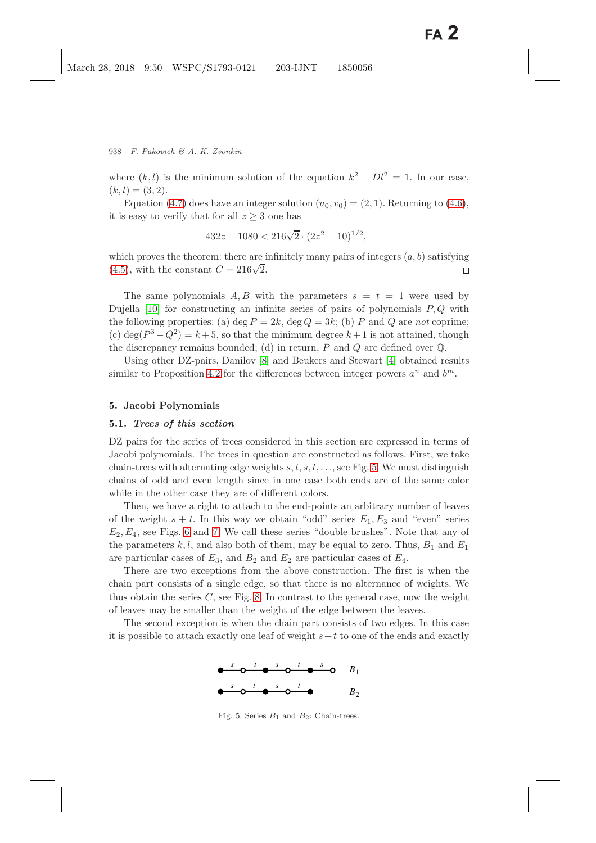where  $(k, l)$  is the minimum solution of the equation  $k^2 - Dl^2 = 1$ . In our case,  $(k, l) = (3, 2).$ 

Equation [\(4.7\)](#page-12-1) does have an integer solution  $(u_0, v_0) = (2, 1)$ . Returning to [\(4.6\)](#page-12-2), it is easy to verify that for all  $z \geq 3$  one has

$$
432z - 1080 < 216\sqrt{2} \cdot (2z^2 - 10)^{1/2},
$$

which proves the theorem: there are infinitely many pairs of integers  $(a, b)$  satisfying which proves the theorem. there are  $(4.5)$ , with the constant  $C = 216\sqrt{2}$ .  $\Box$ 

The same polynomials A, B with the parameters  $s = t = 1$  were used by Dujella  $[10]$  for constructing an infinite series of pairs of polynomials  $P, Q$  with the following properties: (a)  $\deg P = 2k$ ,  $\deg Q = 3k$ ; (b) P and Q are *not* coprime; (c) deg( $P^3 - Q^2$ ) = k + 5, so that the minimum degree k + 1 is not attained, though the discrepancy remains bounded; (d) in return,  $P$  and  $Q$  are defined over  $\mathbb{Q}$ .

Using other DZ-pairs, Danilov [\[8\]](#page-48-5) and Beukers and Stewart [\[4\]](#page-48-7) obtained results similar to Proposition [4.2](#page-12-4) for the differences between integer powers  $a^n$  and  $b^m$ .

#### **5. Jacobi Polynomials**

#### **5.1.** *Trees of this section*

DZ pairs for the series of trees considered in this section are expressed in terms of Jacobi polynomials. The trees in question are constructed as follows. First, we take chain-trees with alternating edge weights  $s, t, s, t, \ldots$ , see Fig. [5.](#page-13-0) We must distinguish chains of odd and even length since in one case both ends are of the same color while in the other case they are of different colors.

Then, we have a right to attach to the end-points an arbitrary number of leaves of the weight  $s + t$ . In this way we obtain "odd" series  $E_1, E_3$  and "even" series  $E_2, E_4$ , see Figs. [6](#page-14-0) and [7.](#page-14-1) We call these series "double brushes". Note that any of the parameters  $k, l$ , and also both of them, may be equal to zero. Thus,  $B_1$  and  $E_1$ are particular cases of  $E_3$ , and  $B_2$  and  $E_2$  are particular cases of  $E_4$ .

There are two exceptions from the above construction. The first is when the chain part consists of a single edge, so that there is no alternance of weights. We thus obtain the series  $C$ , see Fig. [8.](#page-14-2) In contrast to the general case, now the weight of leaves may be smaller than the weight of the edge between the leaves.

The second exception is when the chain part consists of two edges. In this case it is possible to attach exactly one leaf of weight  $s+t$  to one of the ends and exactly



<span id="page-13-1"></span><span id="page-13-0"></span>Fig. 5. Series  $B_1$  and  $B_2$ : Chain-trees.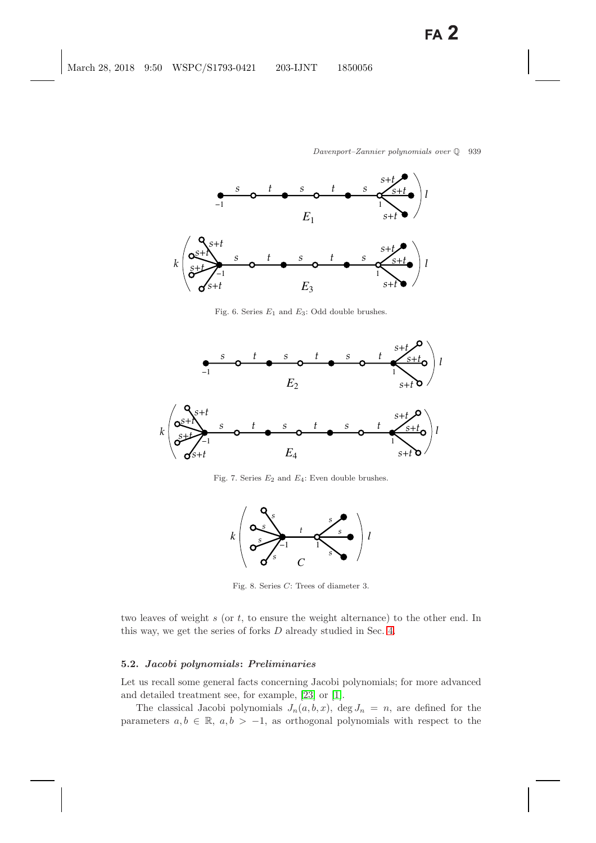

<span id="page-14-0"></span>Fig. 6. Series *E*<sup>1</sup> and *E*3: Odd double brushes.

<span id="page-14-3"></span>

<span id="page-14-1"></span>Fig. 7. Series *E*<sup>2</sup> and *E*4: Even double brushes.



<span id="page-14-2"></span>Fig. 8. Series *C*: Trees of diameter 3.

two leaves of weight  $s$  (or  $t$ , to ensure the weight alternance) to the other end. In this way, we get the series of forks D already studied in Sec. [4.](#page-10-2)

#### **5.2.** *Jacobi polynomials***:** *Preliminaries*

Let us recall some general facts concerning Jacobi polynomials; for more advanced and detailed treatment see, for example, [\[23\]](#page-49-12) or [\[1\]](#page-48-9).

The classical Jacobi polynomials  $J_n(a, b, x)$ , deg  $J_n = n$ , are defined for the parameters  $a, b \in \mathbb{R}$ ,  $a, b > -1$ , as orthogonal polynomials with respect to the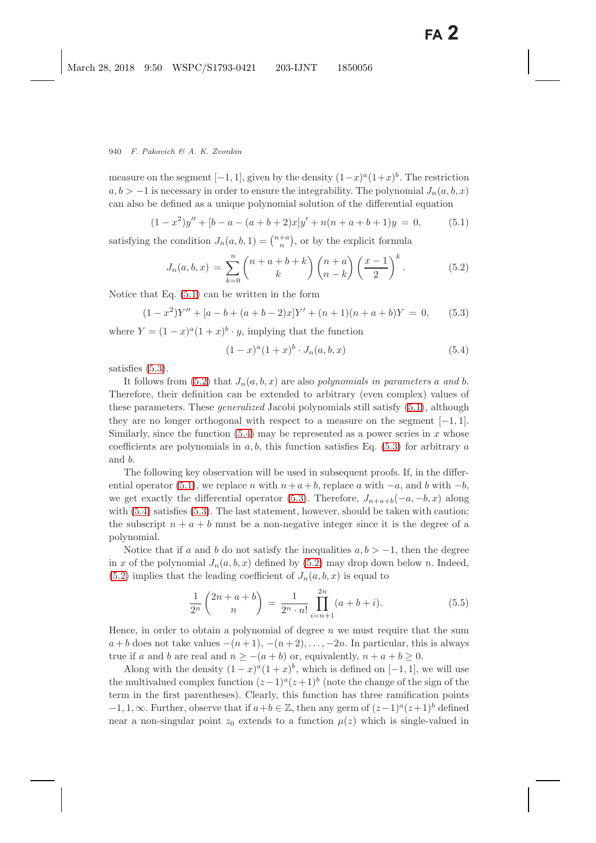measure on the segment  $[-1, 1]$ , given by the density  $(1-x)^{a}(1+x)^{b}$ . The restriction  $a, b > -1$  is necessary in order to ensure the integrability. The polynomial  $J_n(a, b, x)$ can also be defined as a unique polynomial solution of the differential equation

$$
(1 - x2)y'' + [b - a - (a + b + 2)x]y' + n(n + a + b + 1)y = 0,
$$
\n(5.1)

<span id="page-15-6"></span><span id="page-15-2"></span><span id="page-15-0"></span>satisfying the condition  $J_n(a, b, 1) = \binom{n+a}{n}$ , or by the explicit formula

$$
J_n(a,b,x) = \sum_{k=0}^n {n+a+b+k \choose k} {n+a \choose n-k} \left(\frac{x-1}{2}\right)^k.
$$
 (5.2)

<span id="page-15-5"></span><span id="page-15-1"></span>Notice that Eq. [\(5.1\)](#page-15-0) can be written in the form

<span id="page-15-4"></span><span id="page-15-3"></span>
$$
(1 - x2)Y'' + [a - b + (a + b - 2)x]Y' + (n + 1)(n + a + b)Y = 0,
$$
 (5.3)

where  $Y = (1-x)^a(1+x)^b \cdot y$ , implying that the function

 $(1-x)^a(1+x)^b \cdot J_n(a,b,x)$  (5.4)

satisfies [\(5.3\)](#page-15-1).

It follows from  $(5.2)$  that  $J_n(a, b, x)$  are also *polynomials in parameters* a and b. Therefore, their definition can be extended to arbitrary (even complex) values of these parameters. These *generalized* Jacobi polynomials still satisfy [\(5.1\)](#page-15-0), although they are no longer orthogonal with respect to a measure on the segment  $[-1, 1]$ . Similarly, since the function  $(5.4)$  may be represented as a power series in x whose coefficients are polynomials in  $a, b$ , this function satisfies Eq. [\(5.3\)](#page-15-1) for arbitrary  $a$ and b.

The following key observation will be used in subsequent proofs. If, in the differ-ential operator [\(5.1\)](#page-15-0), we replace n with  $n+a+b$ , replace a with  $-a$ , and b with  $-b$ , we get exactly the differential operator [\(5.3\)](#page-15-1). Therefore,  $J_{n+a+b}(-a, -b, x)$  along with  $(5.4)$  satisfies  $(5.3)$ . The last statement, however, should be taken with caution: the subscript  $n + a + b$  must be a non-negative integer since it is the degree of a polynomial.

Notice that if a and b do not satisfy the inequalities  $a, b > -1$ , then the degree in x of the polynomial  $J_n(a, b, x)$  defined by [\(5.2\)](#page-15-2) may drop down below n. Indeed,  $(5.2)$  implies that the leading coefficient of  $J_n(a, b, x)$  is equal to

$$
\frac{1}{2^n} \binom{2n+a+b}{n} = \frac{1}{2^n \cdot n!} \prod_{i=n+1}^{2n} (a+b+i).
$$
 (5.5)

Hence, in order to obtain a polynomial of degree n we must require that the sum  $a + b$  does not take values  $-(n+1), -(n+2), \ldots, -2n$ . In particular, this is always true if a and b are real and  $n \ge -(a+b)$  or, equivalently,  $n + a + b \ge 0$ .

Along with the density  $(1-x)^{a}(1+x)^{b}$ , which is defined on [−1, 1], we will use the multivalued complex function  $(z-1)^a(z+1)^b$  (note the change of the sign of the term in the first parentheses). Clearly, this function has three ramification points  $-1, 1, \infty$ . Further, observe that if  $a+b \in \mathbb{Z}$ , then any germ of  $(z-1)^a(z+1)^b$  defined near a non-singular point  $z_0$  extends to a function  $\mu(z)$  which is single-valued in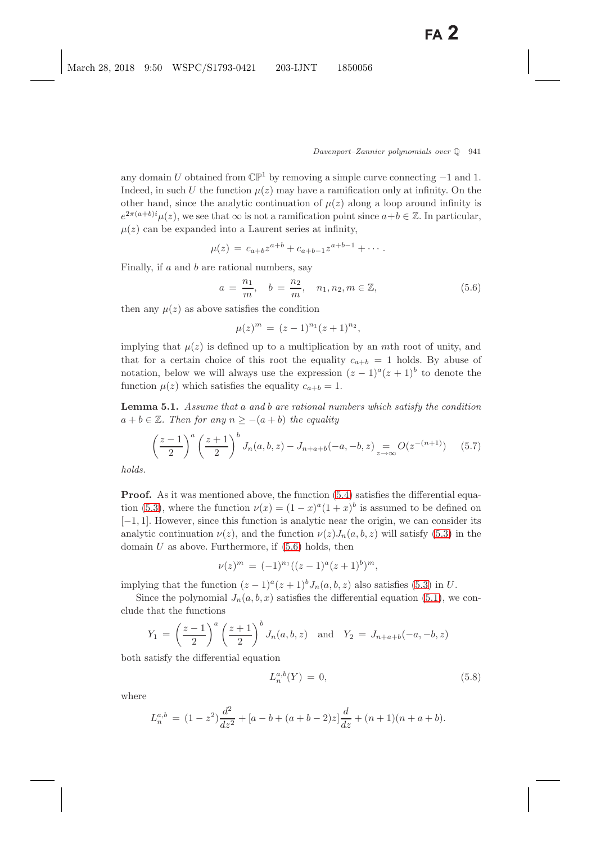any domain U obtained from  $\mathbb{CP}^1$  by removing a simple curve connecting  $-1$  and 1. Indeed, in such U the function  $\mu(z)$  may have a ramification only at infinity. On the other hand, since the analytic continuation of  $\mu(z)$  along a loop around infinity is  $e^{2\pi(a+b)i}\mu(z)$ , we see that  $\infty$  is not a ramification point since  $a+b\in\mathbb{Z}$ . In particular,  $\mu(z)$  can be expanded into a Laurent series at infinity,

$$
\mu(z) = c_{a+b} z^{a+b} + c_{a+b-1} z^{a+b-1} + \cdots
$$

<span id="page-16-0"></span>Finally, if a and b are rational numbers, say

$$
a = \frac{n_1}{m}
$$
,  $b = \frac{n_2}{m}$ ,  $n_1, n_2, m \in \mathbb{Z}$ , (5.6)

then any  $\mu(z)$  as above satisfies the condition

$$
\mu(z)^m = (z-1)^{n_1}(z+1)^{n_2},
$$

implying that  $\mu(z)$  is defined up to a multiplication by an mth root of unity, and that for a certain choice of this root the equality  $c_{a+b} = 1$  holds. By abuse of notation, below we will always use the expression  $(z - 1)^a (z + 1)^b$  to denote the function  $\mu(z)$  which satisfies the equality  $c_{a+b} = 1$ .

<span id="page-16-3"></span>**Lemma 5.1.** *Assume that* a *and* b *are rational numbers which satisfy the condition*  $a + b \in \mathbb{Z}$ . Then for any  $n \ge -(a + b)$  the equality

$$
\left(\frac{z-1}{2}\right)^a \left(\frac{z+1}{2}\right)^b J_n(a,b,z) - J_{n+a+b}(-a,-b,z) \underset{z \to \infty}{=} O(z^{-(n+1)}) \tag{5.7}
$$

<span id="page-16-2"></span>*holds.*

**Proof.** As it was mentioned above, the function  $(5.4)$  satisfies the differential equa-tion [\(5.3\)](#page-15-5), where the function  $\nu(x) = (1-x)^{a}(1+x)^{b}$  is assumed to be defined on [−1, 1]. However, since this function is analytic near the origin, we can consider its analytic continuation  $\nu(z)$ , and the function  $\nu(z)J_n(a, b, z)$  will satisfy [\(5.3\)](#page-15-5) in the domain  $U$  as above. Furthermore, if  $(5.6)$  holds, then

$$
\nu(z)^m = (-1)^{n_1}((z-1)^a(z+1)^b)^m,
$$

implying that the function  $(z - 1)^{a}(z + 1)^{b}J_{n}(a, b, z)$  also satisfies [\(5.3\)](#page-15-5) in U.

Since the polynomial  $J_n(a, b, x)$  satisfies the differential equation [\(5.1\)](#page-15-6), we conclude that the functions

$$
Y_1 = \left(\frac{z-1}{2}\right)^a \left(\frac{z+1}{2}\right)^b J_n(a,b,z)
$$
 and  $Y_2 = J_{n+a+b}(-a,-b,z)$ 

both satisfy the differential equation

<span id="page-16-1"></span>
$$
L_n^{a,b}(Y) = 0,\t\t(5.8)
$$

where

$$
L_n^{a,b} = (1 - z^2) \frac{d^2}{dz^2} + [a - b + (a + b - 2)z] \frac{d}{dz} + (n+1)(n+a+b).
$$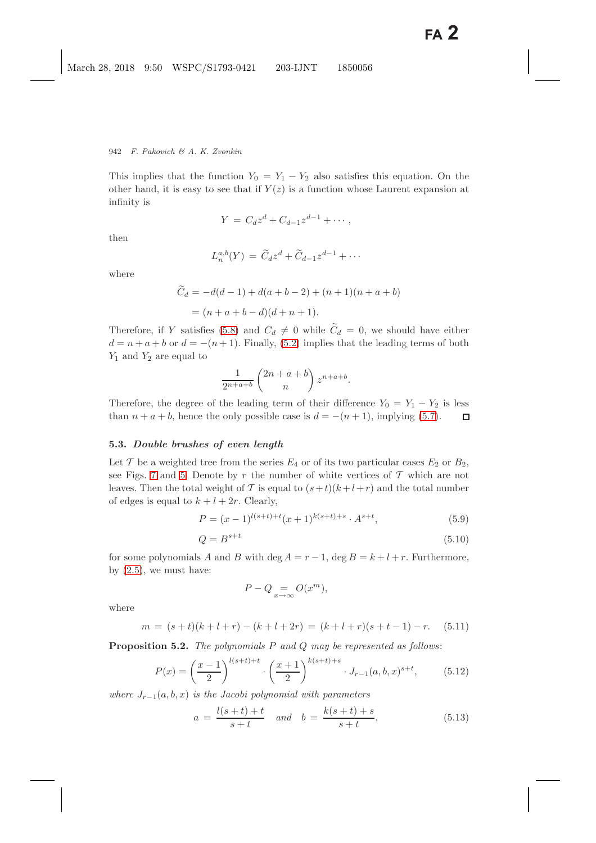This implies that the function  $Y_0 = Y_1 - Y_2$  also satisfies this equation. On the other hand, it is easy to see that if  $Y(z)$  is a function whose Laurent expansion at infinity is

$$
Y = C_d z^d + C_{d-1} z^{d-1} + \cdots,
$$

then

$$
L_n^{a,b}(Y) = \widetilde{C}_d z^d + \widetilde{C}_{d-1} z^{d-1} + \cdots
$$

where

$$
\widetilde{C}_d = -d(d-1) + d(a+b-2) + (n+1)(n+a+b) \n= (n+a+b-d)(d+n+1).
$$

Therefore, if Y satisfies [\(5.8\)](#page-16-1) and  $C_d \neq 0$  while  $\widetilde{C}_d = 0$ , we should have either  $d = n + a + b$  or  $d = -(n + 1)$ . Finally, [\(5.2\)](#page-15-2) implies that the leading terms of both  $Y_1$  and  $Y_2$  are equal to

$$
\frac{1}{2^{n+a+b}}\begin{pmatrix}2n+a+b\\n\end{pmatrix}z^{n+a+b}.
$$

Therefore, the degree of the leading term of their difference  $Y_0 = Y_1 - Y_2$  is less than  $n + a + b$ , hence the only possible case is  $d = -(n + 1)$ , implying [\(5.7\)](#page-16-2).  $\Box$ 

#### <span id="page-17-6"></span><span id="page-17-4"></span>**5.3.** *Double brushes of even length*

Let T be a weighted tree from the series  $E_4$  or of its two particular cases  $E_2$  or  $B_2$ , see Figs. [7](#page-14-1) and [5.](#page-13-0) Denote by r the number of white vertices of  $\mathcal T$  which are not leaves. Then the total weight of T is equal to  $(s+t)(k+l+r)$  and the total number of edges is equal to  $k + l + 2r$ . Clearly,

$$
P = (x - 1)^{l(s+t)+t} (x + 1)^{k(s+t)+s} \cdot A^{s+t},
$$
\n(5.9)

$$
Q = B^{s+t} \tag{5.10}
$$

<span id="page-17-5"></span><span id="page-17-0"></span>for some polynomials A and B with deg  $A = r - 1$ , deg  $B = k + l + r$ . Furthermore, by  $(2.5)$ , we must have:

$$
P - Q = O(x^m),
$$

<span id="page-17-2"></span>where

$$
m = (s+t)(k+l+r) - (k+l+2r) = (k+l+r)(s+t-1) - r.
$$
 (5.11)

<span id="page-17-3"></span>**Proposition 5.2.** *The polynomials* P *and* Q *may be represented as follows*:

$$
P(x) = \left(\frac{x-1}{2}\right)^{l(s+t)+t} \cdot \left(\frac{x+1}{2}\right)^{k(s+t)+s} \cdot J_{r-1}(a,b,x)^{s+t},\tag{5.12}
$$

<span id="page-17-1"></span>*where*  $J_{r-1}(a, b, x)$  *is the Jacobi polynomial with parameters* 

$$
a = \frac{l(s+t) + t}{s+t} \quad and \quad b = \frac{k(s+t) + s}{s+t}, \tag{5.13}
$$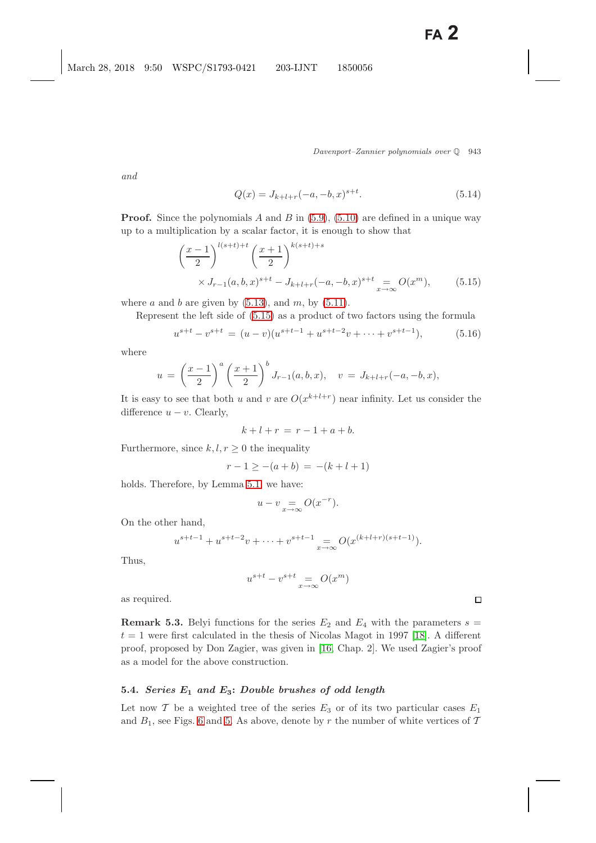*and*

$$
Q(x) = J_{k+l+r}(-a, -b, x)^{s+t}.
$$
\n(5.14)

<span id="page-18-0"></span>**Proof.** Since the polynomials A and B in  $(5.9)$ ,  $(5.10)$  are defined in a unique way up to a multiplication by a scalar factor, it is enough to show that

$$
\left(\frac{x-1}{2}\right)^{l(s+t)+t} \left(\frac{x+1}{2}\right)^{k(s+t)+s}
$$
  
 
$$
\times J_{r-1}(a,b,x)^{s+t} - J_{k+l+r}(-a,-b,x)^{s+t} \underset{x \to \infty}{=} O(x^m), \quad (5.15)
$$

where a and b are given by  $(5.13)$ , and m, by  $(5.11)$ .

Represent the left side of [\(5.15\)](#page-18-0) as a product of two factors using the formula

$$
u^{s+t} - v^{s+t} = (u-v)(u^{s+t-1} + u^{s+t-2}v + \dots + v^{s+t-1}),
$$
\n(5.16)

<span id="page-18-1"></span>where

$$
u = \left(\frac{x-1}{2}\right)^a \left(\frac{x+1}{2}\right)^b J_{r-1}(a,b,x), \quad v = J_{k+l+r}(-a,-b,x),
$$

It is easy to see that both u and v are  $O(x^{k+l+r})$  near infinity. Let us consider the difference  $u - v$ . Clearly,

$$
k+l+r = r-1+a+b.
$$

Furthermore, since  $k, l, r \geq 0$  the inequality

$$
r - 1 \geq -(a + b) = -(k + l + 1)
$$

holds. Therefore, by Lemma [5.1,](#page-16-3) we have:

$$
u - v = O(x^{-r}).
$$

On the other hand,

$$
u^{s+t-1} + u^{s+t-2}v + \dots + v^{s+t-1} = O(x^{(k+l+r)(s+t-1)}).
$$

Thus,

$$
u^{s+t} - v^{s+t} = o(x^m)
$$

as required.

**Remark 5.3.** Belyi functions for the series  $E_2$  and  $E_4$  with the parameters  $s =$  $t = 1$  were first calculated in the thesis of Nicolas Magot in 1997 [\[18\]](#page-49-13). A different proof, proposed by Don Zagier, was given in [\[16,](#page-49-5) Chap. 2]. We used Zagier's proof as a model for the above construction.

#### **5.4.** *Series E***<sup>1</sup>** *and E***3:** *Double brushes of odd length*

Let now  $\mathcal T$  be a weighted tree of the series  $E_3$  or of its two particular cases  $E_1$ and  $B_1$ , see Figs. [6](#page-14-3) and [5.](#page-13-1) As above, denote by r the number of white vertices of T

 $\Box$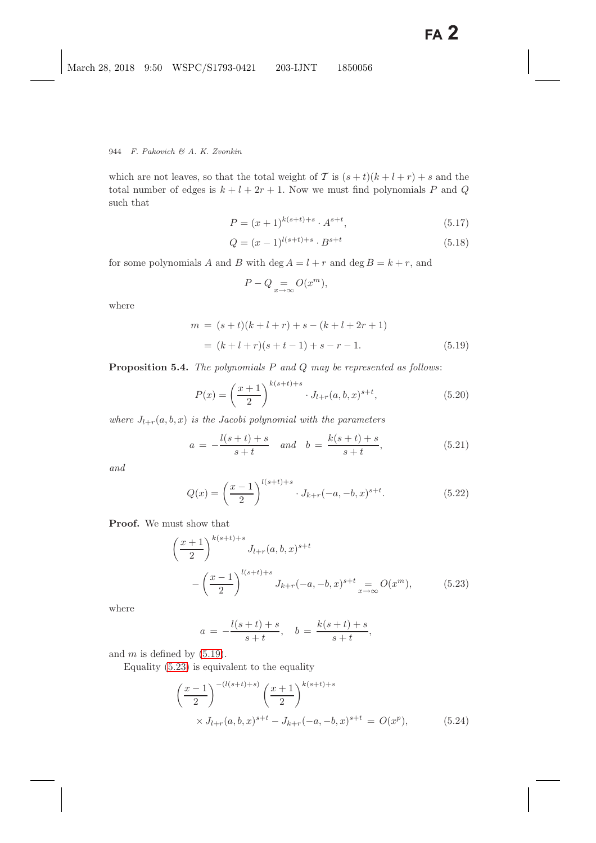which are not leaves, so that the total weight of T is  $(s + t)(k + l + r) + s$  and the total number of edges is  $k + l + 2r + 1$ . Now we must find polynomials P and Q such that

$$
P = (x+1)^{k(s+t)+s} \cdot A^{s+t}, \tag{5.17}
$$

$$
Q = (x - 1)^{l(s+t)+s} \cdot B^{s+t}
$$
\n(5.18)

<span id="page-19-5"></span>for some polynomials A and B with deg  $A = l + r$  and deg  $B = k + r$ , and

$$
P - Q = O(x^m),
$$

<span id="page-19-0"></span>where

$$
m = (s+t)(k+l+r) + s - (k+l+2r+1)
$$
  
=  $(k+l+r)(s+t-1) + s - r - 1.$  (5.19)

<span id="page-19-3"></span>**Proposition 5.4.** *The polynomials* P *and* Q *may be represented as follows*:

$$
P(x) = \left(\frac{x+1}{2}\right)^{k(s+t)+s} \cdot J_{l+r}(a,b,x)^{s+t},\tag{5.20}
$$

*where*  $J_{l+r}(a, b, x)$  *is the Jacobi polynomial with the parameters* 

$$
a = -\frac{l(s+t) + s}{s+t} \quad and \quad b = \frac{k(s+t) + s}{s+t}, \tag{5.21}
$$

<span id="page-19-4"></span>*and*

$$
Q(x) = \left(\frac{x-1}{2}\right)^{l(s+t)+s} \cdot J_{k+r}(-a,-b,x)^{s+t}.\tag{5.22}
$$

<span id="page-19-1"></span>**Proof.** We must show that

$$
\left(\frac{x+1}{2}\right)^{k(s+t)+s} J_{l+r}(a,b,x)^{s+t} - \left(\frac{x-1}{2}\right)^{l(s+t)+s} J_{k+r}(-a,-b,x)^{s+t} \underset{x \to \infty}{=} O(x^m), \tag{5.23}
$$

where

$$
a = -\frac{l(s+t) + s}{s+t}, \quad b = \frac{k(s+t) + s}{s+t},
$$

<span id="page-19-2"></span>and  $m$  is defined by  $(5.19)$ .

Equality [\(5.23\)](#page-19-1) is equivalent to the equality

$$
\left(\frac{x-1}{2}\right)^{-(l(s+t)+s)} \left(\frac{x+1}{2}\right)^{k(s+t)+s}
$$
  
 
$$
\times J_{l+r}(a,b,x)^{s+t} - J_{k+r}(-a,-b,x)^{s+t} = O(x^p), \qquad (5.24)
$$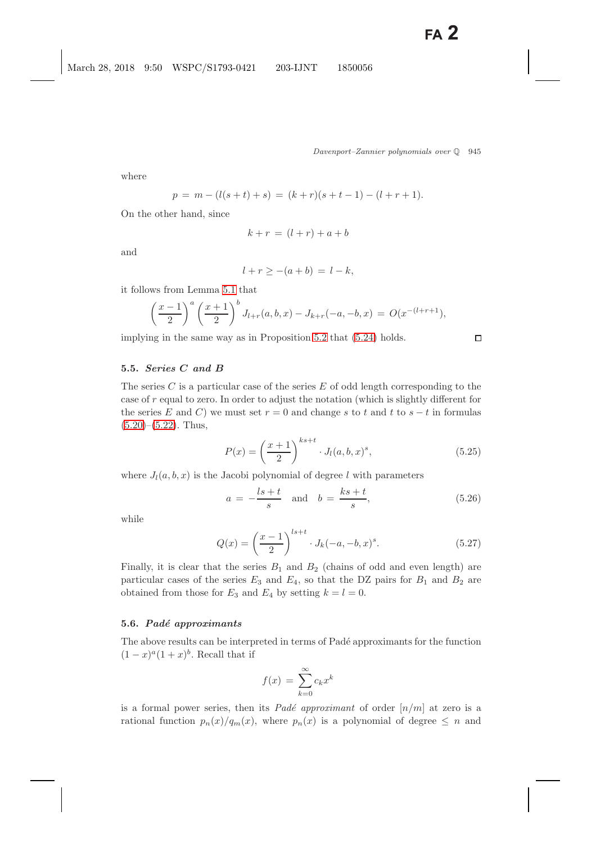$\Box$ 

where

$$
p = m - (l(s+t) + s) = (k+r)(s+t-1) - (l+r+1).
$$

On the other hand, since

$$
k + r = (l + r) + a + b
$$

and

$$
l + r \ge -(a + b) = l - k,
$$

it follows from Lemma [5.1](#page-16-3) that

$$
\left(\frac{x-1}{2}\right)^a \left(\frac{x+1}{2}\right)^b J_{l+r}(a,b,x) - J_{k+r}(-a,-b,x) = O(x^{-(l+r+1)}),
$$

implying in the same way as in Proposition [5.2](#page-17-3) that [\(5.24\)](#page-19-2) holds.

## <span id="page-20-0"></span>**5.5.** *Series C and B*

The series  $C$  is a particular case of the series  $E$  of odd length corresponding to the case of r equal to zero. In order to adjust the notation (which is slightly different for the series E and C) we must set  $r = 0$  and change s to t and t to  $s - t$  in formulas  $(5.20)$ – $(5.22)$ . Thus,

$$
P(x) = \left(\frac{x+1}{2}\right)^{ks+t} \cdot J_l(a, b, x)^s,
$$
\n(5.25)

where  $J_l(a, b, x)$  is the Jacobi polynomial of degree l with parameters

$$
a = -\frac{ls+t}{s} \quad \text{and} \quad b = \frac{ks+t}{s},\tag{5.26}
$$

while

$$
Q(x) = \left(\frac{x-1}{2}\right)^{l s + t} \cdot J_k(-a, -b, x)^s.
$$
 (5.27)

Finally, it is clear that the series  $B_1$  and  $B_2$  (chains of odd and even length) are particular cases of the series  $E_3$  and  $E_4$ , so that the DZ pairs for  $B_1$  and  $B_2$  are obtained from those for  $E_3$  and  $E_4$  by setting  $k = l = 0$ .

#### **5.6.** *Pad´e approximants*

The above results can be interpreted in terms of Padé approximants for the function  $(1-x)^{a}(1+x)^{b}$ . Recall that if

$$
f(x) = \sum_{k=0}^{\infty} c_k x^k
$$

is a formal power series, then its *Padé approximant* of order  $\lfloor n/m \rfloor$  at zero is a rational function  $p_n(x)/q_m(x)$ , where  $p_n(x)$  is a polynomial of degree  $\leq n$  and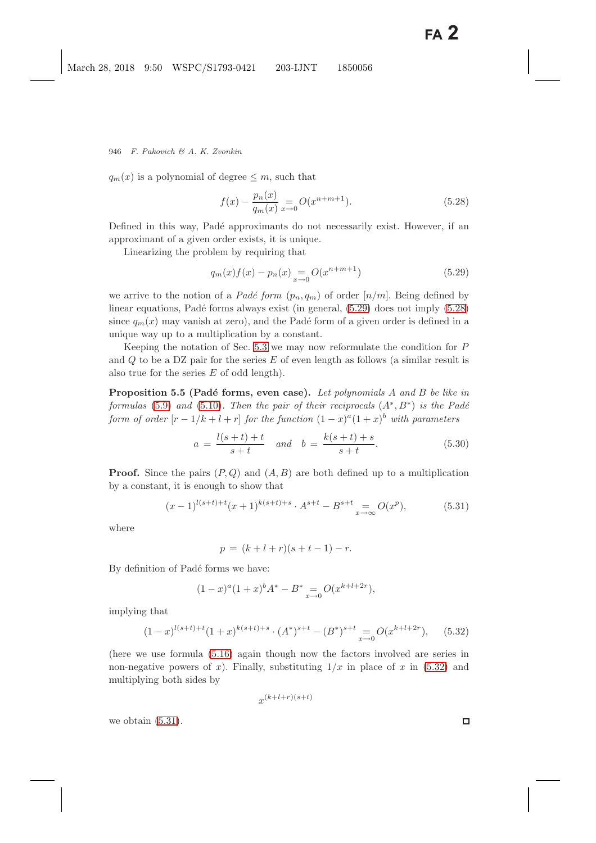<span id="page-21-1"></span> $q_m(x)$  is a polynomial of degree  $\leq m$ , such that

$$
f(x) - \frac{p_n(x)}{q_m(x)} = O(x^{n+m+1}).
$$
\n(5.28)

Defined in this way, Padé approximants do not necessarily exist. However, if an approximant of a given order exists, it is unique.

<span id="page-21-0"></span>Linearizing the problem by requiring that

$$
q_m(x)f(x) - p_n(x) = O(x^{n+m+1})
$$
\n(5.29)

we arrive to the notion of a *Padé form*  $(p_n, q_m)$  of order  $[n/m]$ . Being defined by linear equations, Padé forms always exist (in general,  $(5.29)$  does not imply  $(5.28)$ ) since  $q_m(x)$  may vanish at zero), and the Padé form of a given order is defined in a unique way up to a multiplication by a constant.

Keeping the notation of Sec. [5.3](#page-17-4) we may now reformulate the condition for  $P$ and  $Q$  to be a DZ pair for the series  $E$  of even length as follows (a similar result is also true for the series  $E$  of odd length).

**Proposition 5.5 (Padé forms, even case).** Let polynomials A and B be like in *formulas* [\(5.9\)](#page-17-5) *and* [\(5.10\)](#page-17-5)*. Then the pair of their reciprocals*  $(A^*, B^*)$  *is the Padé form of order*  $[r-1/k+l+r]$  *for the function*  $(1-x)^{a}(1+x)^{b}$  *with parameters* 

$$
a = \frac{l(s+t) + t}{s+t} \quad and \quad b = \frac{k(s+t) + s}{s+t}.
$$
 (5.30)

**Proof.** Since the pairs  $(P,Q)$  and  $(A, B)$  are both defined up to a multiplication by a constant, it is enough to show that

$$
(x-1)^{l(s+t)+t}(x+1)^{k(s+t)+s} \cdot A^{s+t} - B^{s+t} \underset{x \to \infty}{=} O(x^p), \tag{5.31}
$$

<span id="page-21-3"></span>where

$$
p = (k + l + r)(s + t - 1) - r.
$$

By definition of Padé forms we have:

$$
(1-x)^{a}(1+x)^{b}A^{*} - B^{*} = O(x^{k+l+2r}),
$$

<span id="page-21-2"></span>implying that

$$
(1-x)^{l(s+t)+t}(1+x)^{k(s+t)+s} \cdot (A^*)^{s+t} - (B^*)^{s+t} = O(x^{k+l+2r}), \quad (5.32)
$$

(here we use formula [\(5.16\)](#page-18-1) again though now the factors involved are series in non-negative powers of x). Finally, substituting  $1/x$  in place of x in [\(5.32\)](#page-21-2) and multiplying both sides by

$$
x^{(k+l+r)(s+t)}
$$

we obtain  $(5.31)$ .

 $\Box$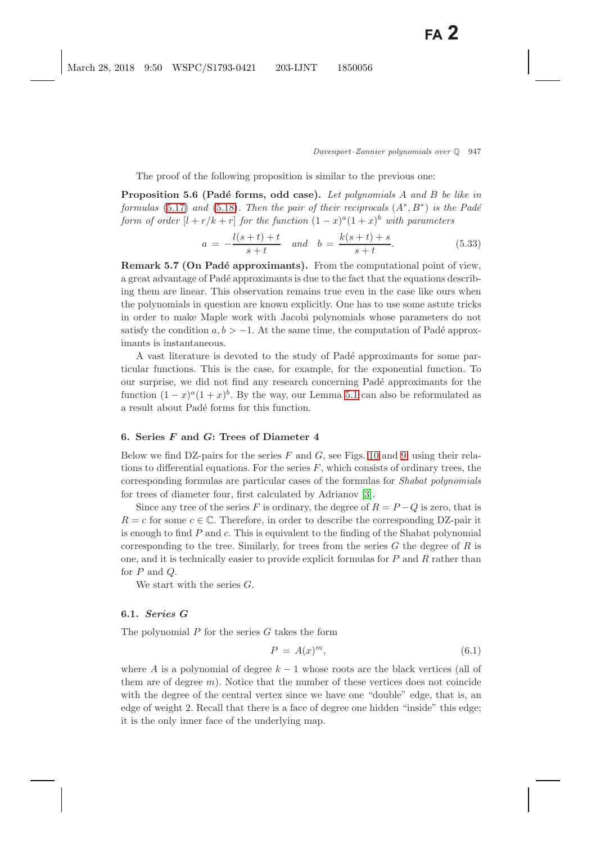The proof of the following proposition is similar to the previous one:

**Proposition 5.6 (Padé forms, odd case).** Let polynomials A and B be like in *formulas* [\(5.17\)](#page-19-5) *and* [\(5.18\)](#page-19-5)*. Then the pair of their reciprocals*  $(A^*, B^*)$  *is the Padé form of order*  $[l + r/k + r]$  *for the function*  $(1 - x)^a (1 + x)^b$  *with parameters* 

$$
a = -\frac{l(s+t) + t}{s+t} \quad and \quad b = \frac{k(s+t) + s}{s+t}.
$$
 (5.33)

**Remark 5.7 (On Padé approximants).** From the computational point of view, a great advantage of Padé approximants is due to the fact that the equations describing them are linear. This observation remains true even in the case like ours when the polynomials in question are known explicitly. One has to use some astute tricks in order to make Maple work with Jacobi polynomials whose parameters do not satisfy the condition  $a, b > -1$ . At the same time, the computation of Padé approximants is instantaneous.

A vast literature is devoted to the study of Padé approximants for some particular functions. This is the case, for example, for the exponential function. To our surprise, we did not find any research concerning Padé approximants for the function  $(1-x)^{a}(1+x)^{b}$ . By the way, our Lemma [5.1](#page-16-3) can also be reformulated as a result about Padé forms for this function.

## **6. Series** *F* **and** *G***: Trees of Diameter 4**

Below we find DZ-pairs for the series  $F$  and  $G$ , see Figs. [10](#page-25-0) and [9,](#page-23-0) using their relations to differential equations. For the series  $F$ , which consists of ordinary trees, the corresponding formulas are particular cases of the formulas for *Shabat polynomials* for trees of diameter four, first calculated by Adrianov [\[3\]](#page-48-10).

Since any tree of the series F is ordinary, the degree of  $R = P - Q$  is zero, that is  $R = c$  for some  $c \in \mathbb{C}$ . Therefore, in order to describe the corresponding DZ-pair it is enough to find  $P$  and  $c$ . This is equivalent to the finding of the Shabat polynomial corresponding to the tree. Similarly, for trees from the series  $G$  the degree of  $R$  is one, and it is technically easier to provide explicit formulas for  $P$  and  $R$  rather than for  $P$  and  $Q$ .

We start with the series  $G$ .

### **6.1.** *Series G*

The polynomial  $P$  for the series  $G$  takes the form

$$
P = A(x)^m,\t\t(6.1)
$$

where A is a polynomial of degree  $k-1$  whose roots are the black vertices (all of them are of degree  $m$ ). Notice that the number of these vertices does not coincide with the degree of the central vertex since we have one "double" edge, that is, an edge of weight 2. Recall that there is a face of degree one hidden "inside" this edge; it is the only inner face of the underlying map.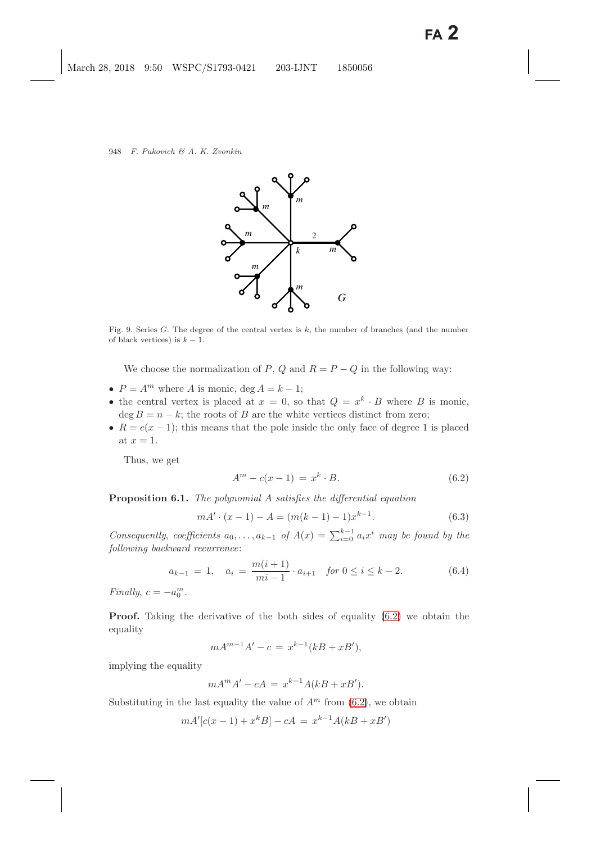

<span id="page-23-0"></span>Fig. 9. Series *G*. The degree of the central vertex is *k*, the number of branches (and the number of black vertices) is  $k-1$ .

We choose the normalization of P, Q and  $R = P - Q$  in the following way:

- $P = A^m$  where A is monic, deg  $A = k 1$ ;
- the central vertex is placed at  $x = 0$ , so that  $Q = x^k \cdot B$  where B is monic,  $\deg B = n - k$ ; the roots of B are the white vertices distinct from zero;
- $R = c(x 1)$ ; this means that the pole inside the only face of degree 1 is placed at  $x = 1$ .

<span id="page-23-4"></span><span id="page-23-1"></span>Thus, we get

$$
A^{m} - c(x - 1) = x^{k} \cdot B.
$$
\n(6.2)

<span id="page-23-2"></span>**Proposition 6.1.** *The polynomial* A *satisfies the differential equation*

$$
mA' \cdot (x-1) - A = (m(k-1) - 1)x^{k-1}.
$$
\n(6.3)

*Consequently, coefficients*  $a_0, \ldots, a_{k-1}$  of  $A(x) = \sum_{i=0}^{k-1} a_i x^i$  *may be found by the following backward recurrence*:

$$
a_{k-1} = 1, \quad a_i = \frac{m(i+1)}{mi-1} \cdot a_{i+1} \quad \text{for } 0 \le i \le k-2. \tag{6.4}
$$

<span id="page-23-3"></span>*Finally*,  $c = -a_0^m$ .

**Proof.** Taking the derivative of the both sides of equality  $(6.2)$  we obtain the equality

$$
mA^{m-1}A' - c = x^{k-1}(kB + xB'),
$$

implying the equality

$$
mA^m A' - cA = x^{k-1}A(kB + xB').
$$

Substituting in the last equality the value of  $A<sup>m</sup>$  from [\(6.2\)](#page-23-1), we obtain

$$
mA'[c(x-1) + x^{k}B] - cA = x^{k-1}A(kB + xB')
$$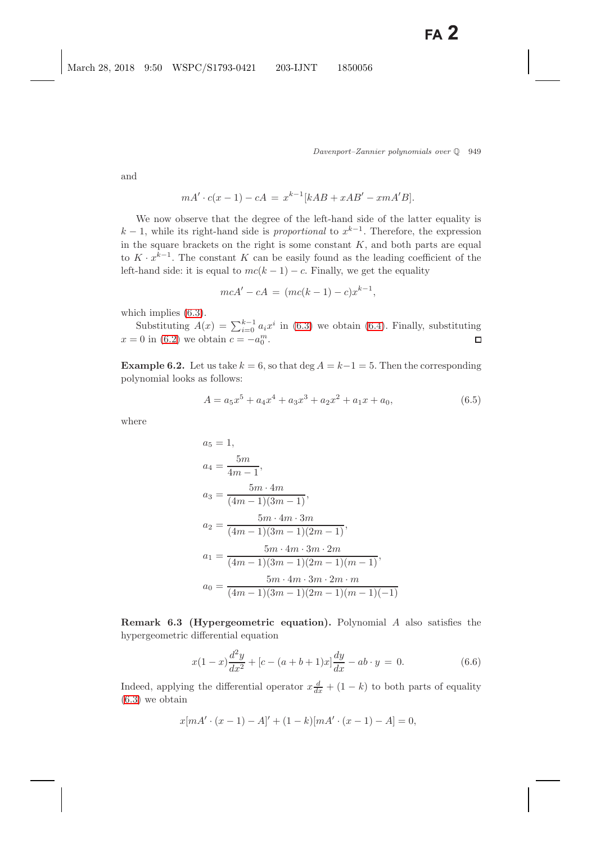and

$$
mA' \cdot c(x - 1) - cA = x^{k-1}[kAB + xAB' - xmA'B].
$$

We now observe that the degree of the left-hand side of the latter equality is  $k-1$ , while its right-hand side is *proportional* to  $x^{k-1}$ . Therefore, the expression in the square brackets on the right is some constant  $K$ , and both parts are equal to  $K \cdot x^{k-1}$ . The constant K can be easily found as the leading coefficient of the left-hand side: it is equal to  $mc(k-1) - c$ . Finally, we get the equality

$$
mcA' - cA = (mc(k - 1) - c)x^{k-1},
$$

which implies [\(6.3\)](#page-23-2).

Substituting  $A(x) = \sum_{i=0}^{k-1} a_i x^i$  in [\(6.3\)](#page-23-2) we obtain [\(6.4\)](#page-23-3). Finally, substituting  $x = 0$  in [\(6.2\)](#page-23-4) we obtain  $c = -a_0^m$ .  $\Box$ 

**Example 6.2.** Let us take  $k = 6$ , so that deg  $A = k-1 = 5$ . Then the corresponding polynomial looks as follows:

$$
A = a_5 x^5 + a_4 x^4 + a_3 x^3 + a_2 x^2 + a_1 x + a_0,
$$
\n(6.5)

where

$$
a_5 = 1,
$$
  
\n
$$
a_4 = \frac{5m}{4m - 1},
$$
  
\n
$$
a_3 = \frac{5m \cdot 4m}{(4m - 1)(3m - 1)},
$$
  
\n
$$
a_2 = \frac{5m \cdot 4m \cdot 3m}{(4m - 1)(3m - 1)(2m - 1)},
$$
  
\n
$$
a_1 = \frac{5m \cdot 4m \cdot 3m \cdot 2m}{(4m - 1)(3m - 1)(2m - 1)(m - 1)},
$$
  
\n
$$
a_0 = \frac{5m \cdot 4m \cdot 3m \cdot 2m \cdot m}{(4m - 1)(3m - 1)(2m - 1)(m - 1)(-1)}
$$

**Remark 6.3 (Hypergeometric equation).** Polynomial A also satisfies the hypergeometric differential equation

$$
x(1-x)\frac{d^2y}{dx^2} + [c - (a+b+1)x]\frac{dy}{dx} - ab \cdot y = 0.
$$
 (6.6)

<span id="page-24-0"></span>Indeed, applying the differential operator  $x \frac{d}{dx} + (1 - k)$  to both parts of equality [\(6.3\)](#page-23-2) we obtain

$$
x[mA' \cdot (x-1) - A]' + (1-k)[mA' \cdot (x-1) - A] = 0,
$$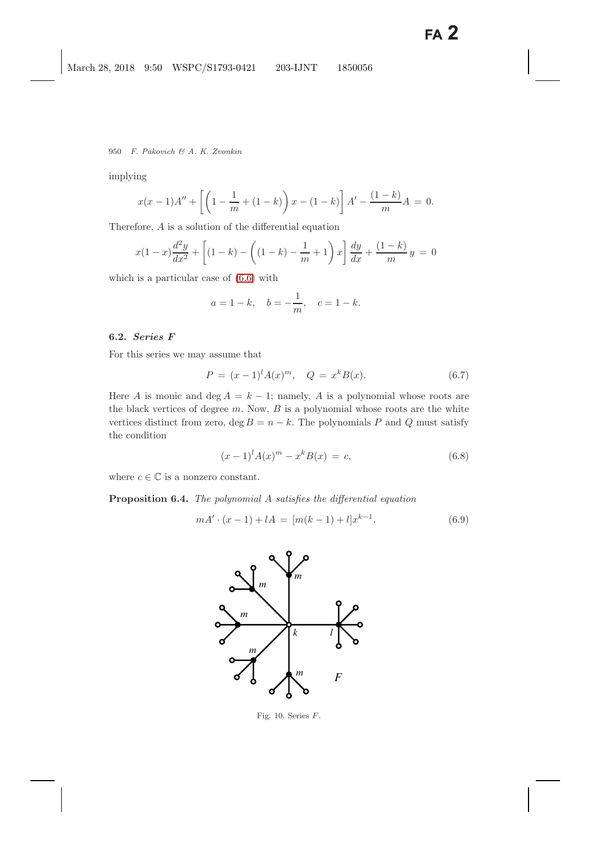950 F. Pakovich & A. K. Zvonkin

implying

$$
x(x-1)A'' + \left[ \left( 1 - \frac{1}{m} + (1-k) \right) x - (1-k) \right] A' - \frac{(1-k)}{m} A = 0.
$$

Therefore, A is a solution of the differential equation

$$
x(1-x)\frac{d^2y}{dx^2} + \left[ (1-k) - \left( (1-k) - \frac{1}{m} + 1 \right)x \right] \frac{dy}{dx} + \frac{(1-k)}{m}y = 0
$$

which is a particular case of [\(6.6\)](#page-24-0) with

$$
a = 1 - k
$$
,  $b = -\frac{1}{m}$ ,  $c = 1 - k$ .

## **6.2.** *Series F*

For this series we may assume that

$$
P = (x - 1)^{l} A(x)^{m}, \quad Q = x^{k} B(x).
$$
 (6.7)

Here A is monic and deg  $A = k - 1$ ; namely, A is a polynomial whose roots are the black vertices of degree  $m$ . Now,  $B$  is a polynomial whose roots are the white vertices distinct from zero, deg  $B = n - k$ . The polynomials P and Q must satisfy the condition

$$
(x-1)^{l} A(x)^{m} - x^{k} B(x) = c,
$$
\n(6.8)

<span id="page-25-1"></span>where  $c \in \mathbb{C}$  is a nonzero constant.

<span id="page-25-2"></span>**Proposition 6.4.** *The polynomial* A *satisfies the differential equation*

$$
mA' \cdot (x-1) + lA = [m(k-1) + l]x^{k-1}.
$$
\n(6.9)



<span id="page-25-0"></span>Fig. 10. Series *F*.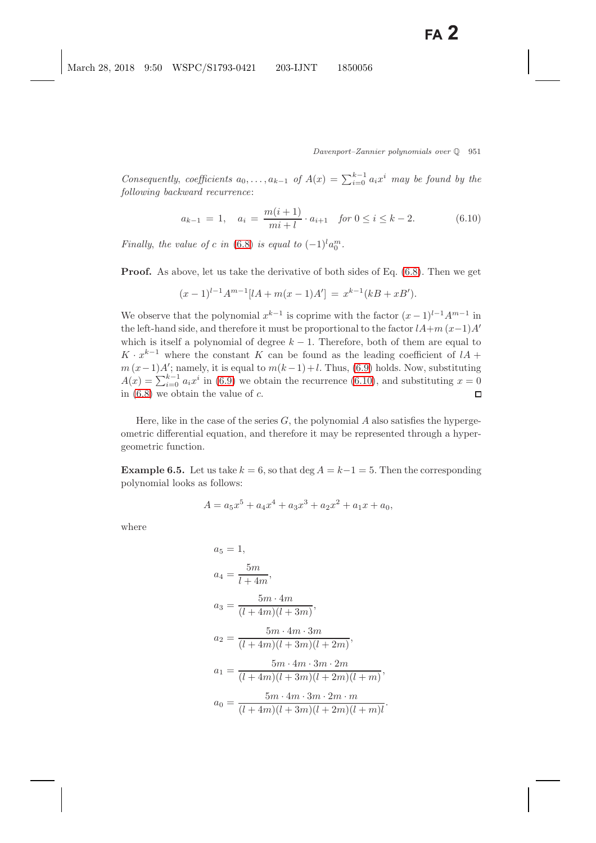*Consequently, coefficients*  $a_0, \ldots, a_{k-1}$  of  $A(x) = \sum_{i=0}^{k-1} a_i x^i$  *may be found by the following backward recurrence*:

$$
a_{k-1} = 1, \quad a_i = \frac{m(i+1)}{mi+l} \cdot a_{i+1} \quad \text{for } 0 \le i \le k-2. \tag{6.10}
$$

<span id="page-26-0"></span>*Finally, the value of* c *in* [\(6.8\)](#page-25-1) *is equal to*  $(-1)^{l}a_0^m$ .

**Proof.** As above, let us take the derivative of both sides of Eq. [\(6.8\)](#page-25-1). Then we get

$$
(x-1)^{l-1}A^{m-1}[lA+m(x-1)A'] = x^{k-1}(kB+xB').
$$

We observe that the polynomial  $x^{k-1}$  is coprime with the factor  $(x-1)^{l-1}A^{m-1}$  in the left-hand side, and therefore it must be proportional to the factor  $lA+m(x-1)A'$ which is itself a polynomial of degree  $k - 1$ . Therefore, both of them are equal to  $K \cdot x^{k-1}$  where the constant K can be found as the leading coefficient of  $lA$  +  $m (x-1)A'$ ; namely, it is equal to  $m(k-1)+l$ . Thus, [\(6.9\)](#page-25-2) holds. Now, substituting  $A(x) = \sum_{i=0}^{k-1} a_i x^i$  in [\(6.9\)](#page-25-2) we obtain the recurrence [\(6.10\)](#page-26-0), and substituting  $x = 0$ in  $(6.8)$  we obtain the value of c.  $\Box$ 

Here, like in the case of the series  $G$ , the polynomial A also satisfies the hypergeometric differential equation, and therefore it may be represented through a hypergeometric function.

**Example 6.5.** Let us take  $k = 6$ , so that deg  $A = k-1 = 5$ . Then the corresponding polynomial looks as follows:

$$
A = a_5 x^5 + a_4 x^4 + a_3 x^3 + a_2 x^2 + a_1 x + a_0,
$$

where

$$
a_5 = 1,
$$
  
\n
$$
a_4 = \frac{5m}{l+4m},
$$
  
\n
$$
a_3 = \frac{5m \cdot 4m}{(l+4m)(l+3m)},
$$
  
\n
$$
a_2 = \frac{5m \cdot 4m \cdot 3m}{(l+4m)(l+3m)(l+2m)},
$$
  
\n
$$
a_1 = \frac{5m \cdot 4m \cdot 3m \cdot 2m}{(l+4m)(l+3m)(l+2m)(l+m)},
$$
  
\n
$$
a_0 = \frac{5m \cdot 4m \cdot 3m \cdot 2m \cdot m}{(l+4m)(l+3m)(l+2m)(l+m)(l+m)}
$$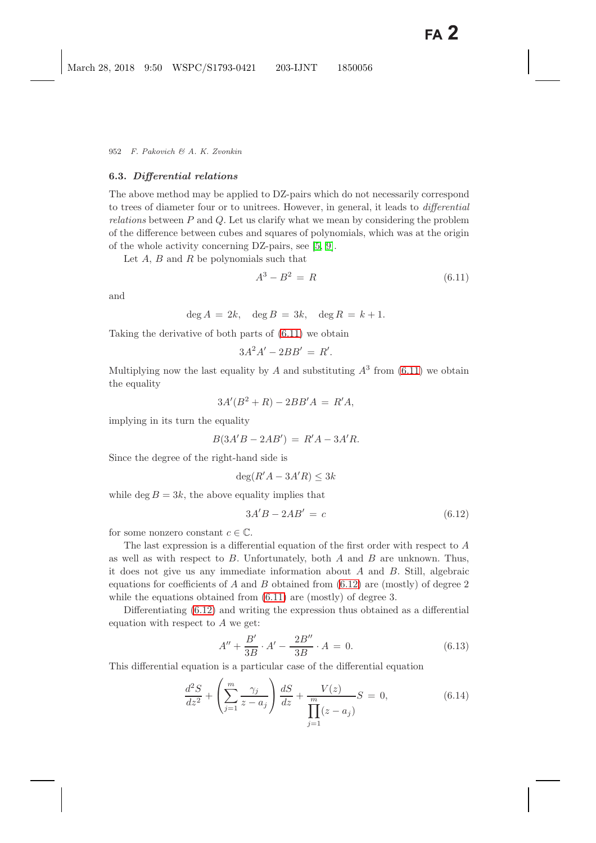#### **6.3.** *Differential relations*

The above method may be applied to DZ-pairs which do not necessarily correspond to trees of diameter four or to unitrees. However, in general, it leads to *differential relations* between P and Q. Let us clarify what we mean by considering the problem of the difference between cubes and squares of polynomials, which was at the origin of the whole activity concerning DZ-pairs, see [\[5,](#page-48-1) [9\]](#page-48-2).

Let  $A, B$  and  $R$  be polynomials such that

$$
A^3 - B^2 = R \tag{6.11}
$$

and

<span id="page-27-0"></span>
$$
\deg A = 2k, \quad \deg B = 3k, \quad \deg R = k+1.
$$

Taking the derivative of both parts of [\(6.11\)](#page-27-0) we obtain

$$
3A^2A' - 2BB' = R'.
$$

Multiplying now the last equality by A and substituting  $A^3$  from [\(6.11\)](#page-27-0) we obtain the equality

$$
3A'(B^2+R) - 2BB'A = R'A,
$$

implying in its turn the equality

$$
B(3A'B - 2AB') = R'A - 3A'R.
$$

Since the degree of the right-hand side is

$$
\deg(R'A - 3A'R) \le 3k
$$

<span id="page-27-1"></span>while deg  $B = 3k$ , the above equality implies that

$$
3A'B - 2AB' = c \tag{6.12}
$$

for some nonzero constant  $c \in \mathbb{C}$ .

The last expression is a differential equation of the first order with respect to A as well as with respect to  $B$ . Unfortunately, both  $A$  and  $B$  are unknown. Thus, it does not give us any immediate information about A and B. Still, algebraic equations for coefficients of A and B obtained from  $(6.12)$  are (mostly) of degree 2 while the equations obtained from  $(6.11)$  are (mostly) of degree 3.

Differentiating [\(6.12\)](#page-27-1) and writing the expression thus obtained as a differential equation with respect to  $A$  we get:

$$
A'' + \frac{B'}{3B} \cdot A' - \frac{2B''}{3B} \cdot A = 0.
$$
 (6.13)

<span id="page-27-3"></span><span id="page-27-2"></span>This differential equation is a particular case of the differential equation

$$
\frac{d^2S}{dz^2} + \left(\sum_{j=1}^m \frac{\gamma_j}{z - a_j}\right) \frac{dS}{dz} + \frac{V(z)}{\prod_{j=1}^m (z - a_j)} S = 0,
$$
\n(6.14)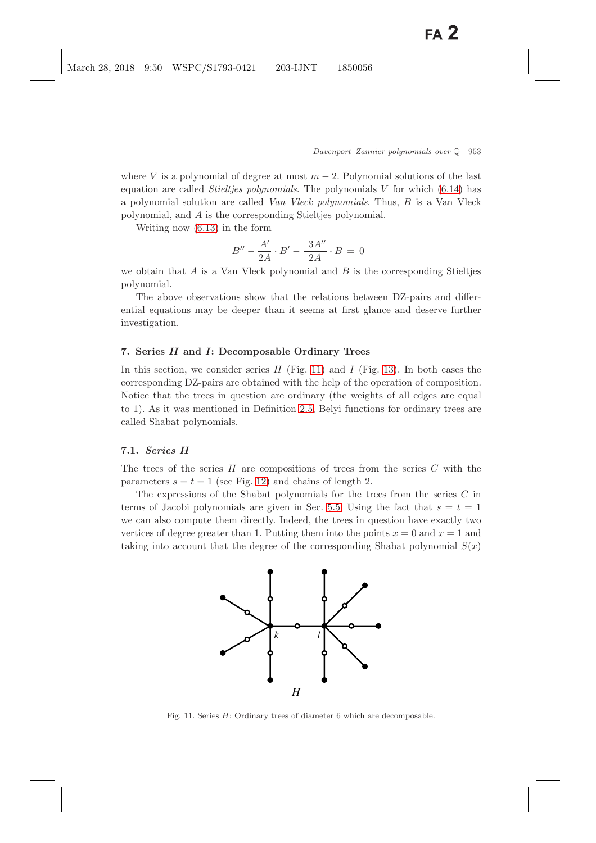where V is a polynomial of degree at most  $m-2$ . Polynomial solutions of the last equation are called *Stieltjes polynomials*. The polynomials V for which [\(6.14\)](#page-27-2) has a polynomial solution are called *Van Vleck polynomials*. Thus, B is a Van Vleck polynomial, and A is the corresponding Stieltjes polynomial.

Writing now [\(6.13\)](#page-27-3) in the form

$$
B'' - \frac{A'}{2A} \cdot B' - \frac{3A''}{2A} \cdot B = 0
$$

we obtain that  $A$  is a Van Vleck polynomial and  $B$  is the corresponding Stieltjes polynomial.

The above observations show that the relations between DZ-pairs and differential equations may be deeper than it seems at first glance and deserve further investigation.

## **7. Series** *H* **and** *I***: Decomposable Ordinary Trees**

In this section, we consider series  $H$  (Fig. [11\)](#page-28-0) and  $I$  (Fig. [13\)](#page-30-0). In both cases the corresponding DZ-pairs are obtained with the help of the operation of composition. Notice that the trees in question are ordinary (the weights of all edges are equal to 1). As it was mentioned in Definition [2.5,](#page-5-1) Belyi functions for ordinary trees are called Shabat polynomials.

## **7.1.** *Series H*

The trees of the series  $H$  are compositions of trees from the series  $C$  with the parameters  $s = t = 1$  (see Fig. [12\)](#page-29-0) and chains of length 2.

The expressions of the Shabat polynomials for the trees from the series  $C$  in terms of Jacobi polynomials are given in Sec. [5.5.](#page-20-0) Using the fact that  $s = t = 1$ we can also compute them directly. Indeed, the trees in question have exactly two vertices of degree greater than 1. Putting them into the points  $x = 0$  and  $x = 1$  and taking into account that the degree of the corresponding Shabat polynomial  $S(x)$ 



<span id="page-28-0"></span>Fig. 11. Series *H*: Ordinary trees of diameter 6 which are decomposable.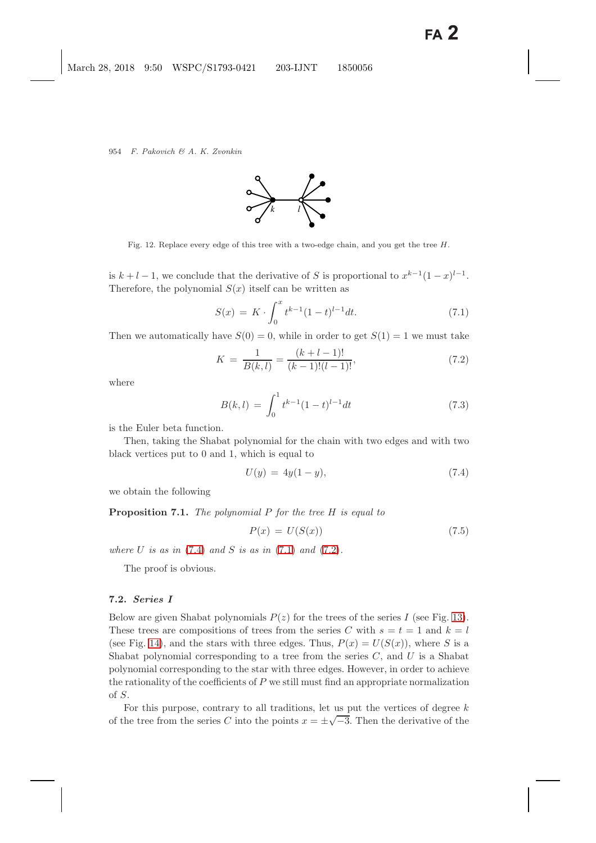

Fig. 12. Replace every edge of this tree with a two-edge chain, and you get the tree *H*.

<span id="page-29-0"></span>is  $k + l - 1$ , we conclude that the derivative of S is proportional to  $x^{k-1}(1-x)^{l-1}$ . Therefore, the polynomial  $S(x)$  itself can be written as

$$
S(x) = K \cdot \int_0^x t^{k-1} (1-t)^{l-1} dt.
$$
 (7.1)

<span id="page-29-3"></span><span id="page-29-2"></span>Then we automatically have  $S(0) = 0$ , while in order to get  $S(1) = 1$  we must take

$$
K = \frac{1}{B(k,l)} = \frac{(k+l-1)!}{(k-1)!(l-1)!},
$$
\n(7.2)

where

$$
B(k,l) = \int_0^1 t^{k-1} (1-t)^{l-1} dt
$$
\n(7.3)

is the Euler beta function.

Then, taking the Shabat polynomial for the chain with two edges and with two black vertices put to 0 and 1, which is equal to

$$
U(y) = 4y(1 - y), \t(7.4)
$$

<span id="page-29-1"></span>we obtain the following

**Proposition 7.1.** *The polynomial* P *for the tree* H *is equal to*

$$
P(x) = U(S(x))\tag{7.5}
$$

*where*  $U$  *is as in* [\(7.4\)](#page-29-1) *and*  $S$  *is as in* [\(7.1\)](#page-29-2) *and* [\(7.2\)](#page-29-3)*.* 

The proof is obvious.

## **7.2.** *Series I*

Below are given Shabat polynomials  $P(z)$  for the trees of the series I (see Fig. [13\)](#page-30-1). These trees are compositions of trees from the series C with  $s = t = 1$  and  $k = l$ (see Fig. [14\)](#page-30-2), and the stars with three edges. Thus,  $P(x) = U(S(x))$ , where S is a Shabat polynomial corresponding to a tree from the series  $C$ , and  $U$  is a Shabat polynomial corresponding to the star with three edges. However, in order to achieve the rationality of the coefficients of  $P$  we still must find an appropriate normalization of S.

For this purpose, contrary to all traditions, let us put the vertices of degree  $k$ of the tree from the series C into the points  $x = \pm \sqrt{-3}$ . Then the derivative of the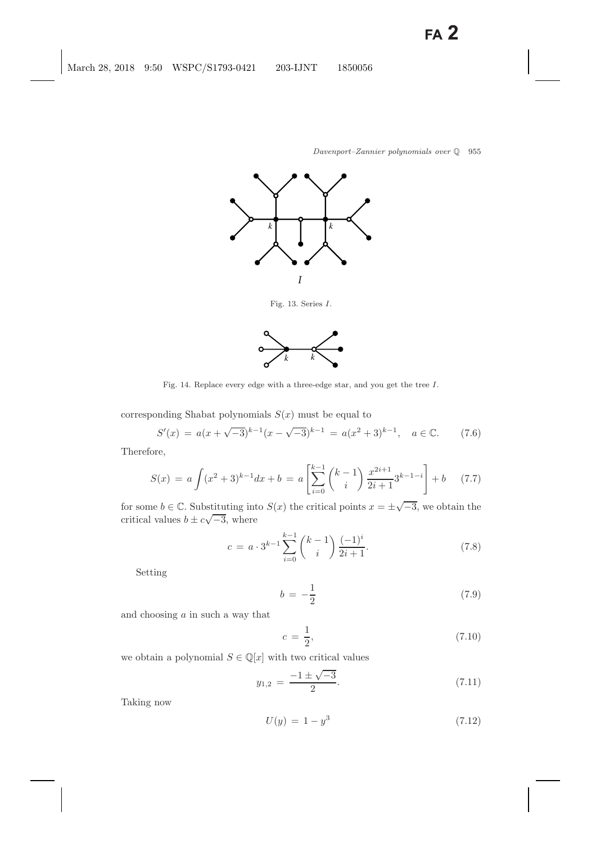

Fig. 13. Series *I*.

<span id="page-30-1"></span><span id="page-30-0"></span>

Fig. 14. Replace every edge with a three-edge star, and you get the tree *I*.

<span id="page-30-2"></span>corresponding Shabat polynomials  $S(x)$  must be equal to

$$
S'(x) = a(x + \sqrt{-3})^{k-1}(x - \sqrt{-3})^{k-1} = a(x^2 + 3)^{k-1}, \quad a \in \mathbb{C}.\tag{7.6}
$$

Therefore,

$$
S(x) = a \int (x^2 + 3)^{k-1} dx + b = a \left[ \sum_{i=0}^{k-1} {k-1 \choose i} \frac{x^{2i+1}}{2i+1} 3^{k-1-i} \right] + b \quad (7.7)
$$

<span id="page-30-4"></span>for some  $b \in \mathbb{C}$ . Substituting into  $S(x)$  the critical points  $x = \pm \sqrt{-3}$ , we obtain the critical values  $b \pm c \sqrt{-3}$ , where

$$
c = a \cdot 3^{k-1} \sum_{i=0}^{k-1} {k-1 \choose i} \frac{(-1)^i}{2i+1}.
$$
 (7.8)

<span id="page-30-5"></span>Setting

$$
b = -\frac{1}{2} \tag{7.9}
$$

and choosing  $a$  in such a way that

$$
c = \frac{1}{2},\tag{7.10}
$$

we obtain a polynomial  $S \in \mathbb{Q}[x]$  with two critical values

<span id="page-30-6"></span>
$$
y_{1,2} = \frac{-1 \pm \sqrt{-3}}{2}.
$$
 (7.11)

Taking now

<span id="page-30-3"></span>
$$
U(y) = 1 - y^3 \tag{7.12}
$$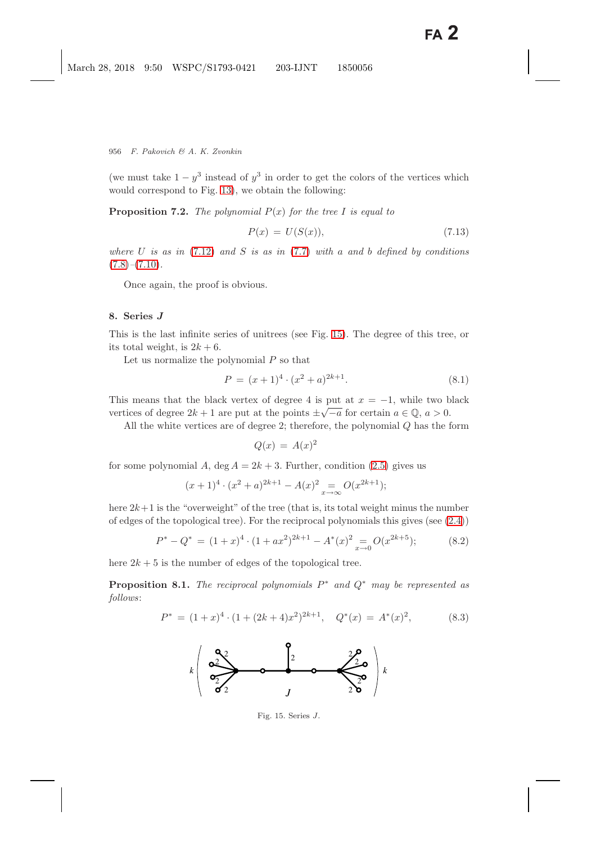(we must take  $1 - y^3$  instead of  $y^3$  in order to get the colors of the vertices which would correspond to Fig. [13\)](#page-30-1), we obtain the following:

**Proposition 7.2.** *The polynomial* P(x) *for the tree* I *is equal to*

$$
P(x) = U(S(x)),\tag{7.13}
$$

*where* U *is as in* [\(7.12\)](#page-30-3) *and* S *is as in* [\(7.7\)](#page-30-4) *with* a *and* b *defined by conditions* [\(7.8\)](#page-30-5)*–*[\(7.10\)](#page-30-6)*.*

Once again, the proof is obvious.

#### <span id="page-31-0"></span>**8. Series** *J*

This is the last infinite series of unitrees (see Fig. [15\)](#page-31-1). The degree of this tree, or its total weight, is  $2k + 6$ .

Let us normalize the polynomial  $P$  so that

$$
P = (x+1)^4 \cdot (x^2 + a)^{2k+1}.
$$
\n(8.1)

This means that the black vertex of degree 4 is put at  $x = -1$ , while two black vertices of degree  $2k + 1$  are put at the points  $\pm \sqrt{-a}$  for certain  $a \in \mathbb{Q}$ ,  $a > 0$ .

All the white vertices are of degree 2; therefore, the polynomial Q has the form

$$
Q(x) = A(x)^2
$$

for some polynomial A, deg  $A = 2k + 3$ . Further, condition [\(2.5\)](#page-7-3) gives us

$$
(x+1)^4 \cdot (x^2+a)^{2k+1} - A(x)^2 \underset{x \to \infty}{=} O(x^{2k+1});
$$

here  $2k+1$  is the "overweight" of the tree (that is, its total weight minus the number of edges of the topological tree). For the reciprocal polynomials this gives (see  $(2.4)$ )

$$
P^* - Q^* = (1+x)^4 \cdot (1+ax^2)^{2k+1} - A^*(x)^2 \underset{x \to 0}{=} O(x^{2k+5});
$$
 (8.2)

<span id="page-31-2"></span>here  $2k + 5$  is the number of edges of the topological tree.

**Proposition 8.1.** *The reciprocal polynomials* P<sup>∗</sup> *and* Q<sup>∗</sup> *may be represented as follows*:

$$
P^* = (1+x)^4 \cdot (1+(2k+4)x^2)^{2k+1}, \quad Q^*(x) = A^*(x)^2, \tag{8.3}
$$



<span id="page-31-1"></span>Fig. 15. Series *J*.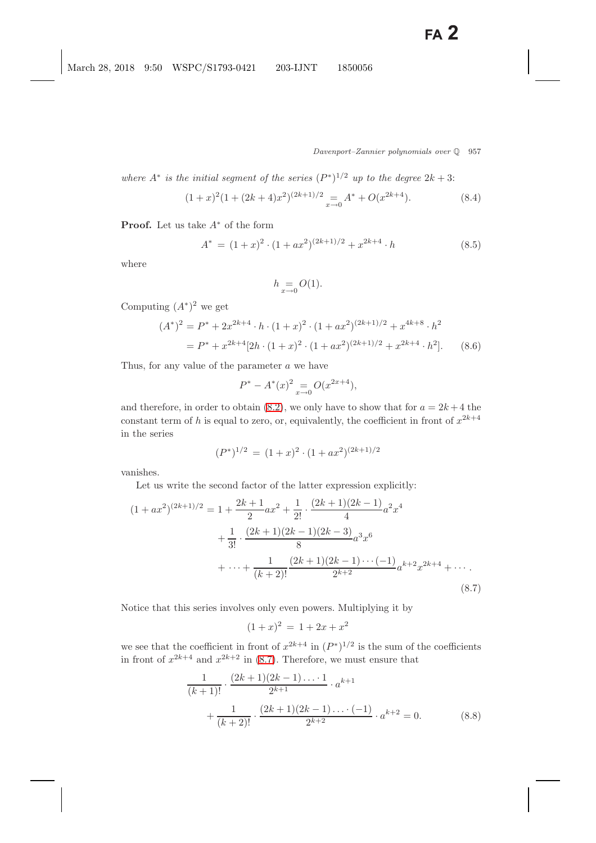*where*  $A^*$  *is the initial segment of the series*  $(P^*)^{1/2}$  *up to the degree*  $2k + 3$ :

$$
(1+x)^{2}(1+(2k+4)x^{2})^{(2k+1)/2} = A^{*} + O(x^{2k+4}).
$$
\n(8.4)

**Proof.** Let us take A<sup>∗</sup> of the form

$$
A^* = (1+x)^2 \cdot (1+ax^2)^{(2k+1)/2} + x^{2k+4} \cdot h \tag{8.5}
$$

where

$$
h \underset{x \to 0}{=} O(1).
$$

Computing  $(A^*)^2$  we get

$$
(A^*)^2 = P^* + 2x^{2k+4} \cdot h \cdot (1+x)^2 \cdot (1+ax^2)^{(2k+1)/2} + x^{4k+8} \cdot h^2
$$
  
= 
$$
P^* + x^{2k+4} [2h \cdot (1+x)^2 \cdot (1+ax^2)^{(2k+1)/2} + x^{2k+4} \cdot h^2].
$$
 (8.6)

Thus, for any value of the parameter a we have

$$
P^* - A^*(x)^2 \underset{x \to 0}{=} O(x^{2x+4}),
$$

and therefore, in order to obtain [\(8.2\)](#page-31-2), we only have to show that for  $a = 2k + 4$  the constant term of h is equal to zero, or, equivalently, the coefficient in front of  $x^{2k+4}$ in the series

$$
(P^*)^{1/2} = (1+x)^2 \cdot (1+ax^2)^{(2k+1)/2}
$$

<span id="page-32-0"></span>vanishes.

Let us write the second factor of the latter expression explicitly:

$$
(1+ax^2)^{(2k+1)/2} = 1 + \frac{2k+1}{2}ax^2 + \frac{1}{2!} \cdot \frac{(2k+1)(2k-1)}{4}a^2x^4
$$
  
+ 
$$
\frac{1}{3!} \cdot \frac{(2k+1)(2k-1)(2k-3)}{8}a^3x^6
$$
  
+ 
$$
\cdots + \frac{1}{(k+2)!} \frac{(2k+1)(2k-1)\cdots(-1)}{2^{k+2}}a^{k+2}x^{2k+4} + \cdots
$$
 (8.7)

Notice that this series involves only even powers. Multiplying it by

$$
(1+x)^2 = 1 + 2x + x^2
$$

we see that the coefficient in front of  $x^{2k+4}$  in  $(P^*)^{1/2}$  is the sum of the coefficients in front of  $x^{2k+4}$  and  $x^{2k+2}$  in [\(8.7\)](#page-32-0). Therefore, we must ensure that

$$
\frac{1}{(k+1)!} \cdot \frac{(2k+1)(2k-1)\dots1}{2^{k+1}} \cdot a^{k+1} + \frac{1}{(k+2)!} \cdot \frac{(2k+1)(2k-1)\dots(-1)}{2^{k+2}} \cdot a^{k+2} = 0.
$$
 (8.8)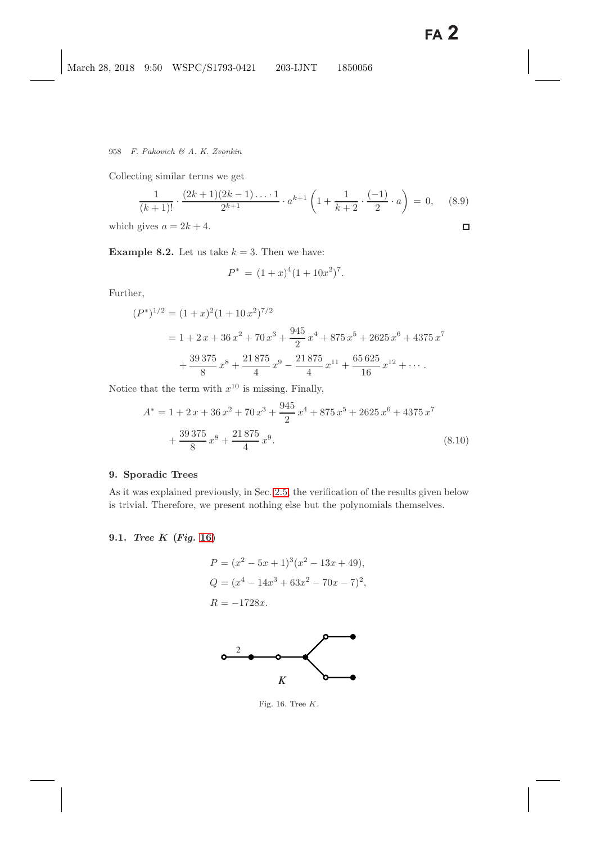Collecting similar terms we get

$$
\frac{1}{(k+1)!} \cdot \frac{(2k+1)(2k-1)\dots 1}{2^{k+1}} \cdot a^{k+1} \left(1 + \frac{1}{k+2} \cdot \frac{(-1)}{2} \cdot a\right) = 0, \quad (8.9)
$$
  
gives  $a = 2k+4$ .

which gives  $a = 2k + 4$ .

**Example 8.2.** Let us take  $k = 3$ . Then we have:

$$
P^* = (1+x)^4 (1+10x^2)^7.
$$

Further,

$$
(P^*)^{1/2} = (1+x)^2(1+10x^2)^{7/2}
$$
  
= 1 + 2x + 36x<sup>2</sup> + 70x<sup>3</sup> +  $\frac{945}{2}$ x<sup>4</sup> + 875x<sup>5</sup> + 2625x<sup>6</sup> + 4375x<sup>7</sup>  
+  $\frac{39375}{8}$ x<sup>8</sup> +  $\frac{21875}{4}$ x<sup>9</sup> -  $\frac{21875}{4}$ x<sup>11</sup> +  $\frac{65625}{16}$ x<sup>12</sup> + ...

Notice that the term with  $x^{10}$  is missing. Finally,

$$
A^* = 1 + 2x + 36x^2 + 70x^3 + \frac{945}{2}x^4 + 875x^5 + 2625x^6 + 4375x^7
$$

$$
+ \frac{39375}{8}x^8 + \frac{21875}{4}x^9.
$$
(8.10)

### <span id="page-33-0"></span>**9. Sporadic Trees**

As it was explained previously, in Sec. [2.5,](#page-8-1) the verification of the results given below is trivial. Therefore, we present nothing else but the polynomials themselves.

# **9.1.** *Tree K* **(***Fig.* **[16\)](#page-33-1)**

$$
P = (x^{2} - 5x + 1)^{3}(x^{2} - 13x + 49),
$$
  
\n
$$
Q = (x^{4} - 14x^{3} + 63x^{2} - 70x - 7)^{2},
$$
  
\n
$$
R = -1728x.
$$



<span id="page-33-1"></span>Fig. 16. Tree *K*.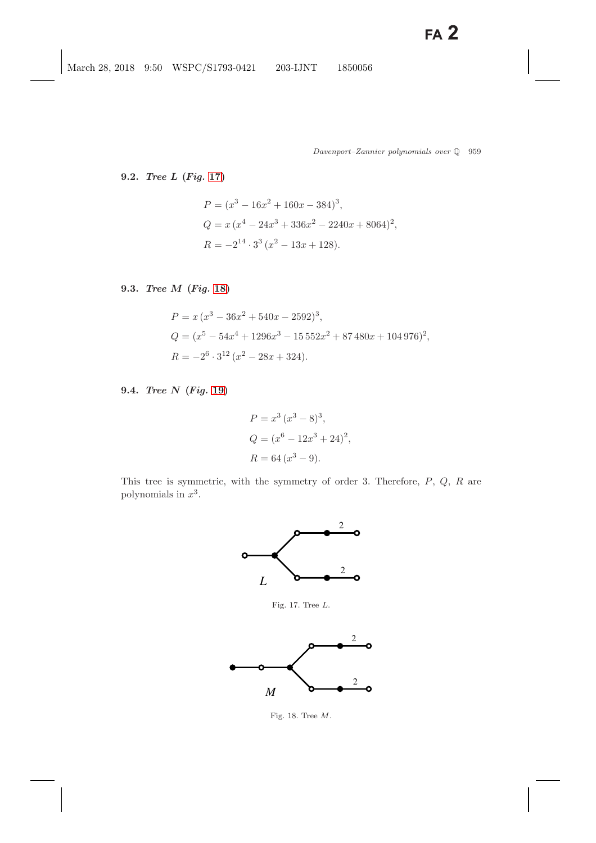## **9.2.** *Tree L* **(***Fig.* **[17\)](#page-34-0)**

$$
P = (x3 - 16x2 + 160x - 384)3,
$$
  
\n
$$
Q = x (x4 - 24x3 + 336x2 - 2240x + 8064)2,
$$
  
\n
$$
R = -214 \cdot 33 (x2 - 13x + 128).
$$

**9.3.** *Tree M* **(***Fig.* **[18\)](#page-34-1)**

$$
P = x (x3 - 36x2 + 540x - 2592)3,
$$
  
\n
$$
Q = (x5 - 54x4 + 1296x3 - 15552x2 + 87480x + 104976)2,
$$
  
\n
$$
R = -26 \cdot 312 (x2 - 28x + 324).
$$

**9.4.** *Tree N* **(***Fig.* **[19\)](#page-35-0)**

$$
P = x3 (x3 - 8)3,
$$
  
\n
$$
Q = (x6 - 12x3 + 24)2,
$$
  
\n
$$
R = 64 (x3 - 9).
$$

This tree is symmetric, with the symmetry of order 3. Therefore,  $P$ ,  $Q$ ,  $R$  are polynomials in  $x^3$ .



Fig. 17. Tree *L*.

<span id="page-34-0"></span>

<span id="page-34-1"></span>Fig. 18. Tree *M*.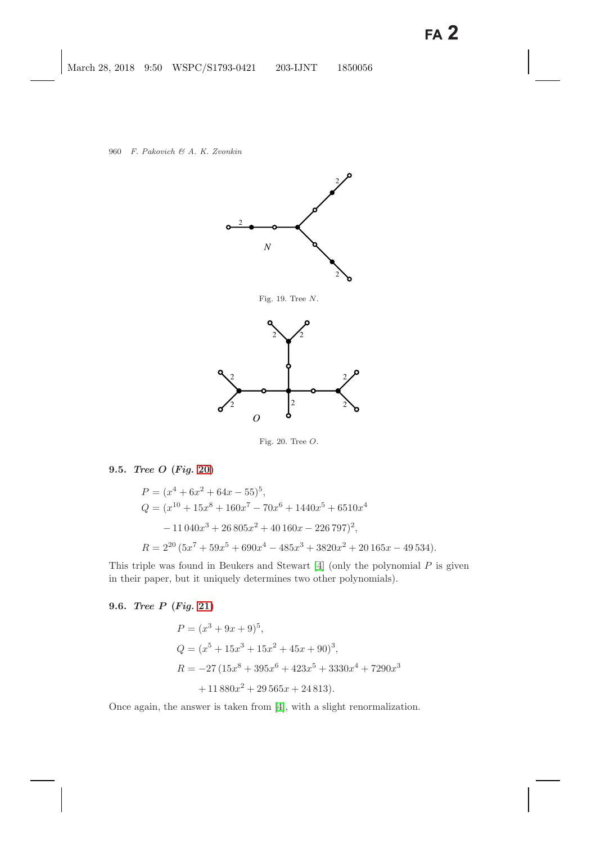

Fig. 19. Tree *N*.

<span id="page-35-0"></span>

<span id="page-35-1"></span>Fig. 20. Tree *O*.

## **9.5.** *Tree O* **(***Fig.* **[20\)](#page-35-1)**

$$
P = (x^4 + 6x^2 + 64x - 55)^5,
$$
  
\n
$$
Q = (x^{10} + 15x^8 + 160x^7 - 70x^6 + 1440x^5 + 6510x^4
$$
  
\n
$$
- 11040x^3 + 26805x^2 + 40160x - 226797)^2,
$$
  
\n
$$
R = 2^{20} (5x^7 + 59x^5 + 690x^4 - 485x^3 + 3820x^2 + 20165x - 49534).
$$

This triple was found in Beukers and Stewart  $[4]$  (only the polynomial  $P$  is given in their paper, but it uniquely determines two other polynomials).

# **9.6.** *Tree P* **(***Fig.* **[21\)](#page-36-0)**

$$
P = (x^{3} + 9x + 9)^{5},
$$
  
\n
$$
Q = (x^{5} + 15x^{3} + 15x^{2} + 45x + 90)^{3},
$$
  
\n
$$
R = -27(15x^{8} + 395x^{6} + 423x^{5} + 3330x^{4} + 7290x^{3} + 11880x^{2} + 29565x + 24813).
$$

Once again, the answer is taken from [\[4\]](#page-48-7), with a slight renormalization.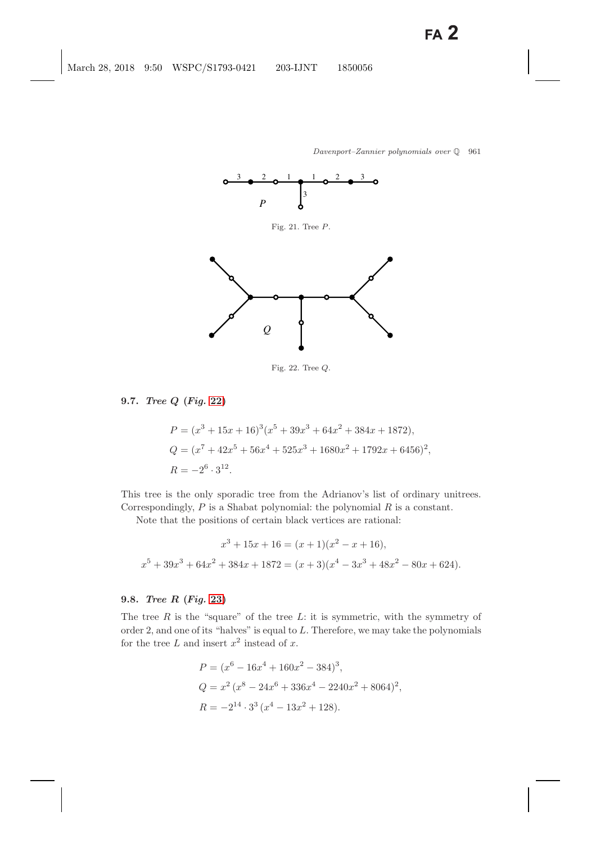<span id="page-36-0"></span>

<span id="page-36-1"></span>Fig. 22. Tree *Q*.

### **9.7.** *Tree Q* **(***Fig.* **[22\)](#page-36-1)**

$$
P = (x^3 + 15x + 16)^3(x^5 + 39x^3 + 64x^2 + 384x + 1872),
$$
  
\n
$$
Q = (x^7 + 42x^5 + 56x^4 + 525x^3 + 1680x^2 + 1792x + 6456)^2,
$$
  
\n
$$
R = -2^6 \cdot 3^{12}.
$$

This tree is the only sporadic tree from the Adrianov's list of ordinary unitrees. Correspondingly,  $P$  is a Shabat polynomial: the polynomial  $R$  is a constant.

Note that the positions of certain black vertices are rational:

$$
x^3 + 15x + 16 = (x+1)(x^2 - x + 16),
$$
  

$$
x^5 + 39x^3 + 64x^2 + 384x + 1872 = (x+3)(x^4 - 3x^3 + 48x^2 - 80x + 624).
$$

#### **9.8.** *Tree R* **(***Fig.* **[23\)](#page-37-1)**

The tree  $R$  is the "square" of the tree  $L$ : it is symmetric, with the symmetry of order 2, and one of its "halves" is equal to L. Therefore, we may take the polynomials for the tree L and insert  $x^2$  instead of x.

$$
P = (x^{6} - 16x^{4} + 160x^{2} - 384)^{3},
$$
  
\n
$$
Q = x^{2} (x^{8} - 24x^{6} + 336x^{4} - 2240x^{2} + 8064)^{2},
$$
  
\n
$$
R = -2^{14} \cdot 3^{3} (x^{4} - 13x^{2} + 128).
$$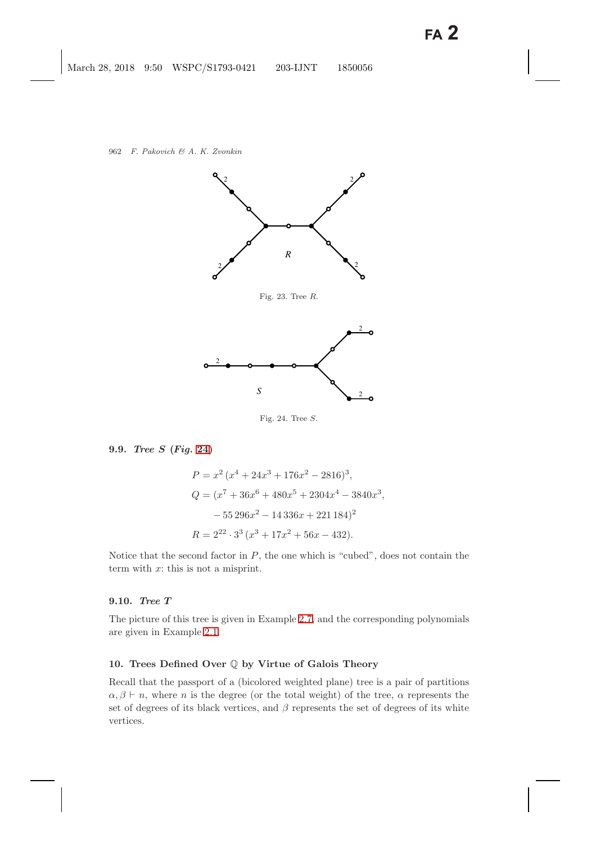

<span id="page-37-2"></span><span id="page-37-1"></span>Fig. 24. Tree *S*.

#### <span id="page-37-4"></span><span id="page-37-3"></span>**9.9.** *Tree S* **(***Fig.* **[24\)](#page-37-2)**

$$
P = x^{2} (x^{4} + 24x^{3} + 176x^{2} - 2816)^{3},
$$
  
\n
$$
Q = (x^{7} + 36x^{6} + 480x^{5} + 2304x^{4} - 3840x^{3},
$$
  
\n
$$
- 55296x^{2} - 14336x + 221184)^{2}
$$
  
\n
$$
R = 2^{22} \cdot 3^{3} (x^{3} + 17x^{2} + 56x - 432).
$$

Notice that the second factor in  $P$ , the one which is "cubed", does not contain the term with  $x$ : this is not a misprint.

### **9.10.** *Tree T*

The picture of this tree is given in Example [2.7,](#page-6-1) and the corresponding polynomials are given in Example [2.1.](#page-3-1)

### <span id="page-37-0"></span>**10. Trees Defined Over** Q **by Virtue of Galois Theory**

Recall that the passport of a (bicolored weighted plane) tree is a pair of partitions  $\alpha, \beta \vdash n$ , where n is the degree (or the total weight) of the tree,  $\alpha$  represents the set of degrees of its black vertices, and  $\beta$  represents the set of degrees of its white vertices.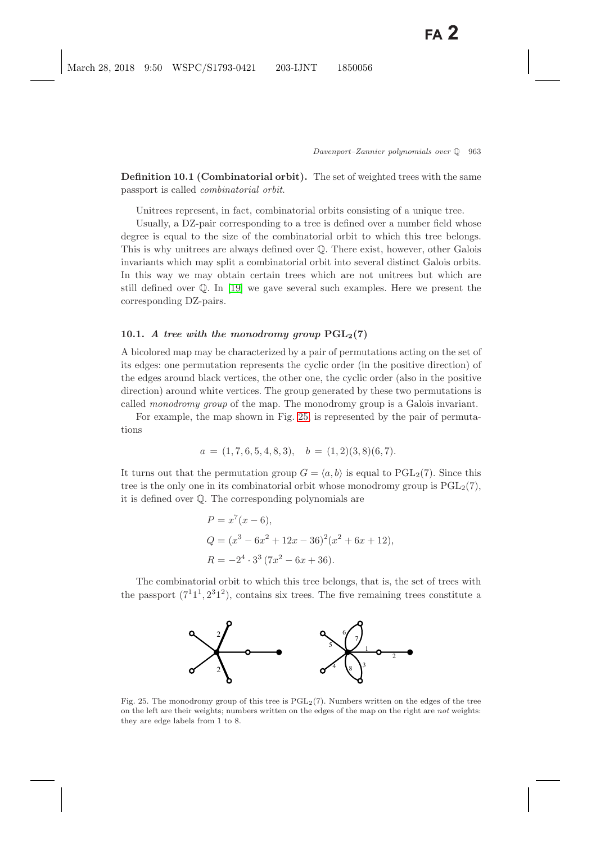**Definition 10.1 (Combinatorial orbit).** The set of weighted trees with the same passport is called *combinatorial orbit*.

Unitrees represent, in fact, combinatorial orbits consisting of a unique tree.

Usually, a DZ-pair corresponding to a tree is defined over a number field whose degree is equal to the size of the combinatorial orbit to which this tree belongs. This is why unitrees are always defined over Q. There exist, however, other Galois invariants which may split a combinatorial orbit into several distinct Galois orbits. In this way we may obtain certain trees which are not unitrees but which are still defined over Q. In [\[19\]](#page-49-2) we gave several such examples. Here we present the corresponding DZ-pairs.

#### **10.1.** *A tree with the monodromy group*  $PGL_2(7)$

A bicolored map may be characterized by a pair of permutations acting on the set of its edges: one permutation represents the cyclic order (in the positive direction) of the edges around black vertices, the other one, the cyclic order (also in the positive direction) around white vertices. The group generated by these two permutations is called *monodromy group* of the map. The monodromy group is a Galois invariant.

For example, the map shown in Fig. [25,](#page-38-0) is represented by the pair of permutations

$$
a = (1, 7, 6, 5, 4, 8, 3), b = (1, 2)(3, 8)(6, 7).
$$

It turns out that the permutation group  $G = \langle a, b \rangle$  is equal to PGL<sub>2</sub>(7). Since this tree is the only one in its combinatorial orbit whose monodromy group is  $PGL<sub>2</sub>(7)$ , it is defined over Q. The corresponding polynomials are

$$
P = x^{7}(x - 6),
$$
  
\n
$$
Q = (x^{3} - 6x^{2} + 12x - 36)^{2}(x^{2} + 6x + 12),
$$
  
\n
$$
R = -2^{4} \cdot 3^{3} (7x^{2} - 6x + 36).
$$

The combinatorial orbit to which this tree belongs, that is, the set of trees with the passport  $(7^11^1, 2^31^2)$ , contains six trees. The five remaining trees constitute a



<span id="page-38-0"></span>Fig. 25. The monodromy group of this tree is  $PGL<sub>2</sub>(7)$ . Numbers written on the edges of the tree on the left are their weights; numbers written on the edges of the map on the right are not weights: they are edge labels from 1 to 8.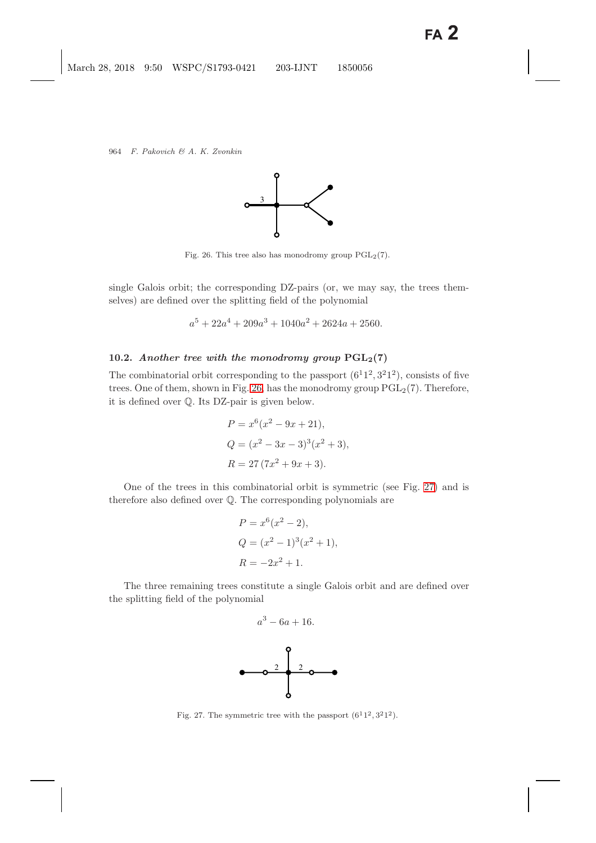

<span id="page-39-0"></span>Fig. 26. This tree also has monodromy group  $PGL_2(7)$ .

single Galois orbit; the corresponding DZ-pairs (or, we may say, the trees themselves) are defined over the splitting field of the polynomial

$$
a^5 + 22a^4 + 209a^3 + 1040a^2 + 2624a + 2560.
$$

#### **10.2.** *Another tree with the monodromy group*  $PGL_2(7)$

The combinatorial orbit corresponding to the passport  $(6<sup>1</sup>1<sup>2</sup>, 3<sup>2</sup>1<sup>2</sup>)$ , consists of five trees. One of them, shown in Fig. [26,](#page-39-0) has the monodromy group  $PGL_2(7)$ . Therefore, it is defined over Q. Its DZ-pair is given below.

$$
P = x^{6}(x^{2} - 9x + 21),
$$
  
\n
$$
Q = (x^{2} - 3x - 3)^{3}(x^{2} + 3),
$$
  
\n
$$
R = 27(7x^{2} + 9x + 3).
$$

One of the trees in this combinatorial orbit is symmetric (see Fig. [27\)](#page-39-1) and is therefore also defined over Q. The corresponding polynomials are

$$
P = x^{6}(x^{2} - 2),
$$
  
\n
$$
Q = (x^{2} - 1)^{3}(x^{2} + 1),
$$
  
\n
$$
R = -2x^{2} + 1.
$$

The three remaining trees constitute a single Galois orbit and are defined over the splitting field of the polynomial



<span id="page-39-1"></span>Fig. 27. The symmetric tree with the passport  $(6^11^2, 3^21^2)$ .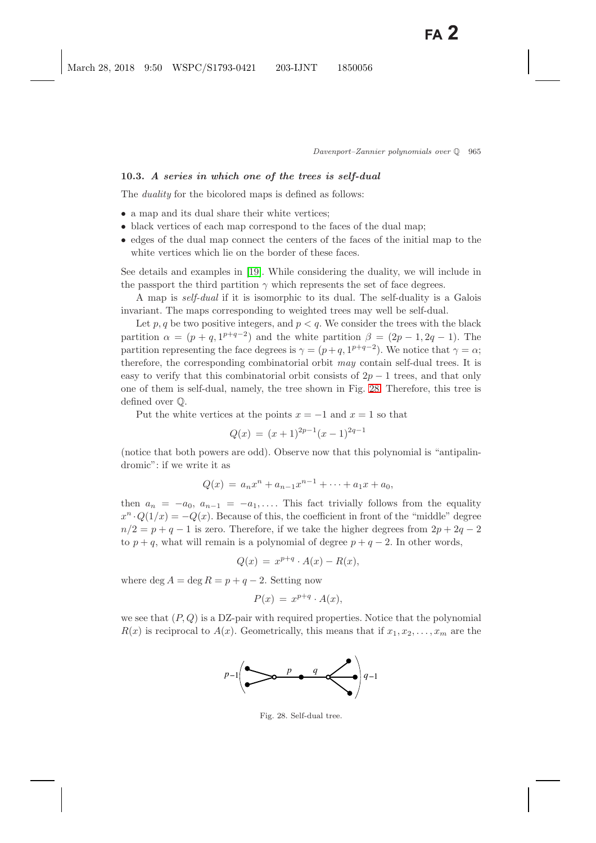## **10.3.** *A series in which one of the trees is self-dual*

The *duality* for the bicolored maps is defined as follows:

- a map and its dual share their white vertices;
- black vertices of each map correspond to the faces of the dual map;
- edges of the dual map connect the centers of the faces of the initial map to the white vertices which lie on the border of these faces.

See details and examples in [\[19\]](#page-49-2). While considering the duality, we will include in the passport the third partition  $\gamma$  which represents the set of face degrees.

A map is *self-dual* if it is isomorphic to its dual. The self-duality is a Galois invariant. The maps corresponding to weighted trees may well be self-dual.

Let p, q be two positive integers, and  $p < q$ . We consider the trees with the black partition  $\alpha = (p + q, 1^{p+q-2})$  and the white partition  $\beta = (2p - 1, 2q - 1)$ . The partition representing the face degrees is  $\gamma = (p+q, 1^{p+q-2})$ . We notice that  $\gamma = \alpha$ ; therefore, the corresponding combinatorial orbit *may* contain self-dual trees. It is easy to verify that this combinatorial orbit consists of  $2p-1$  trees, and that only one of them is self-dual, namely, the tree shown in Fig. [28.](#page-40-0) Therefore, this tree is defined over Q.

Put the white vertices at the points  $x = -1$  and  $x = 1$  so that

$$
Q(x) = (x+1)^{2p-1}(x-1)^{2q-1}
$$

(notice that both powers are odd). Observe now that this polynomial is "antipalindromic": if we write it as

$$
Q(x) = a_n x^n + a_{n-1} x^{n-1} + \dots + a_1 x + a_0,
$$

then  $a_n = -a_0$ ,  $a_{n-1} = -a_1$ ,.... This fact trivially follows from the equality  $x^n \cdot Q(1/x) = -Q(x)$ . Because of this, the coefficient in front of the "middle" degree  $n/2 = p + q - 1$  is zero. Therefore, if we take the higher degrees from  $2p + 2q - 2$ to  $p + q$ , what will remain is a polynomial of degree  $p + q - 2$ . In other words,

$$
Q(x) = x^{p+q} \cdot A(x) - R(x),
$$

where deg  $A = \text{deg } R = p + q - 2$ . Setting now

$$
P(x) = x^{p+q} \cdot A(x),
$$

we see that  $(P, Q)$  is a DZ-pair with required properties. Notice that the polynomial  $R(x)$  is reciprocal to  $A(x)$ . Geometrically, this means that if  $x_1, x_2, \ldots, x_m$  are the



<span id="page-40-0"></span>Fig. 28. Self-dual tree.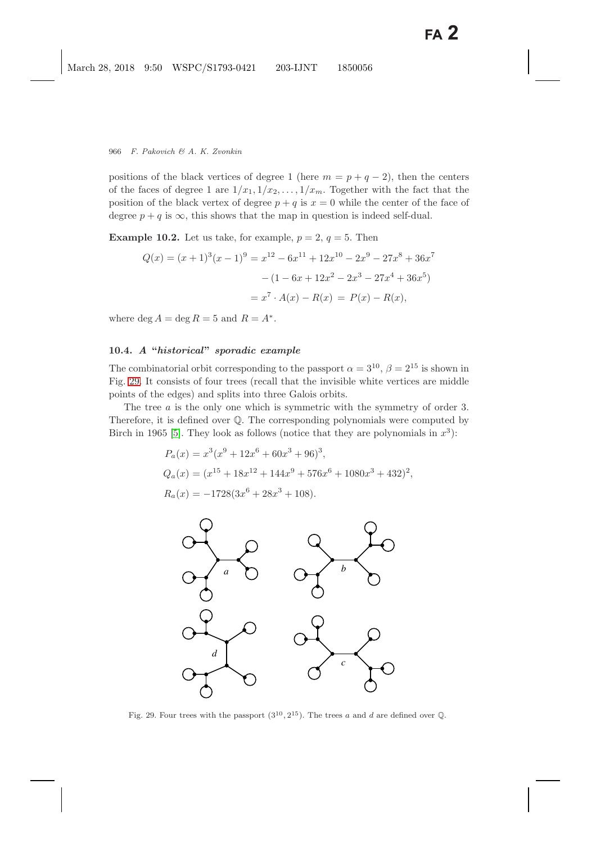positions of the black vertices of degree 1 (here  $m = p + q - 2$ ), then the centers of the faces of degree 1 are  $1/x_1, 1/x_2, \ldots, 1/x_m$ . Together with the fact that the position of the black vertex of degree  $p + q$  is  $x = 0$  while the center of the face of degree  $p + q$  is  $\infty$ , this shows that the map in question is indeed self-dual.

**Example 10.2.** Let us take, for example,  $p = 2$ ,  $q = 5$ . Then

$$
Q(x) = (x+1)^3(x-1)^9 = x^{12} - 6x^{11} + 12x^{10} - 2x^9 - 27x^8 + 36x^7
$$

$$
- (1 - 6x + 12x^2 - 2x^3 - 27x^4 + 36x^5)
$$

$$
= x^7 \cdot A(x) - R(x) = P(x) - R(x),
$$

where deg  $A = \deg R = 5$  and  $R = A^*$ .

## **10.4.** *A* **"***historical***"** *sporadic example*

The combinatorial orbit corresponding to the passport  $\alpha = 3^{10}$ ,  $\beta = 2^{15}$  is shown in Fig. [29.](#page-41-0) It consists of four trees (recall that the invisible white vertices are middle points of the edges) and splits into three Galois orbits.

The tree *a* is the only one which is symmetric with the symmetry of order 3. Therefore, it is defined over Q. The corresponding polynomials were computed by Birch in 1965 [\[5\]](#page-48-1). They look as follows (notice that they are polynomials in  $x^3$ ):

$$
P_a(x) = x^3(x^9 + 12x^6 + 60x^3 + 96)^3,
$$
  
\n
$$
Q_a(x) = (x^{15} + 18x^{12} + 144x^9 + 576x^6 + 1080x^3 + 432)^2,
$$
  
\n
$$
R_a(x) = -1728(3x^6 + 28x^3 + 108).
$$



<span id="page-41-0"></span>Fig. 29. Four trees with the passport  $(3^{10}, 2^{15})$ . The trees *a* and *d* are defined over Q.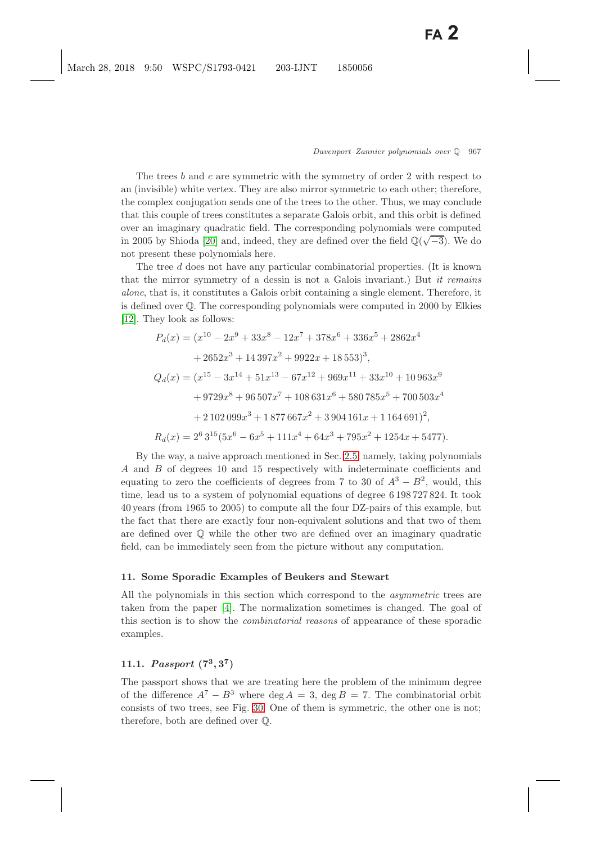The trees b and c are symmetric with the symmetry of order 2 with respect to an (invisible) white vertex. They are also mirror symmetric to each other; therefore, the complex conjugation sends one of the trees to the other. Thus, we may conclude that this couple of trees constitutes a separate Galois orbit, and this orbit is defined over an imaginary quadratic field. The corresponding polynomials were computed over an imaginary quadratic field. The corresponding polynomials were computed<br>in 2005 by Shioda [\[20\]](#page-49-14) and, indeed, they are defined over the field  $\mathbb{Q}(\sqrt{-3})$ . We do not present these polynomials here.

The tree d does not have any particular combinatorial properties. (It is known that the mirror symmetry of a dessin is not a Galois invariant.) But *it remains alone*, that is, it constitutes a Galois orbit containing a single element. Therefore, it is defined over Q. The corresponding polynomials were computed in 2000 by Elkies [\[12\]](#page-49-15). They look as follows:

$$
P_d(x) = (x^{10} - 2x^9 + 33x^8 - 12x^7 + 378x^6 + 336x^5 + 2862x^4
$$
  
+ 2652x<sup>3</sup> + 14397x<sup>2</sup> + 9922x + 18553)<sup>3</sup>,  

$$
Q_d(x) = (x^{15} - 3x^{14} + 51x^{13} - 67x^{12} + 969x^{11} + 33x^{10} + 10963x^9
$$
  
+ 9729x<sup>8</sup> + 96507x<sup>7</sup> + 108631x<sup>6</sup> + 580785x<sup>5</sup> + 700503x<sup>4</sup>  
+ 2102099x<sup>3</sup> + 1877667x<sup>2</sup> + 3904161x + 1164691)<sup>2</sup>,  

$$
R_d(x) = 2^6 3^{15} (5x^6 - 6x^5 + 111x^4 + 64x^3 + 795x^2 + 1254x + 5477).
$$

By the way, a naive approach mentioned in Sec. [2.5,](#page-8-2) namely, taking polynomials A and B of degrees 10 and 15 respectively with indeterminate coefficients and equating to zero the coefficients of degrees from 7 to 30 of  $A^3 - B^2$ , would, this time, lead us to a system of polynomial equations of degree 6 198 727 824. It took 40 years (from 1965 to 2005) to compute all the four DZ-pairs of this example, but the fact that there are exactly four non-equivalent solutions and that two of them are defined over Q while the other two are defined over an imaginary quadratic field, can be immediately seen from the picture without any computation.

#### **11. Some Sporadic Examples of Beukers and Stewart**

All the polynomials in this section which correspond to the *asymmetric* trees are taken from the paper [\[4\]](#page-48-4). The normalization sometimes is changed. The goal of this section is to show the *combinatorial reasons* of appearance of these sporadic examples.

## <span id="page-42-1"></span><span id="page-42-0"></span>**11.1.** *Passport*  $(7^3, 3^7)$

The passport shows that we are treating here the problem of the minimum degree of the difference  $A^7 - B^3$  where deg  $A = 3$ , deg  $B = 7$ . The combinatorial orbit consists of two trees, see Fig. [30.](#page-43-0) One of them is symmetric, the other one is not; therefore, both are defined over Q.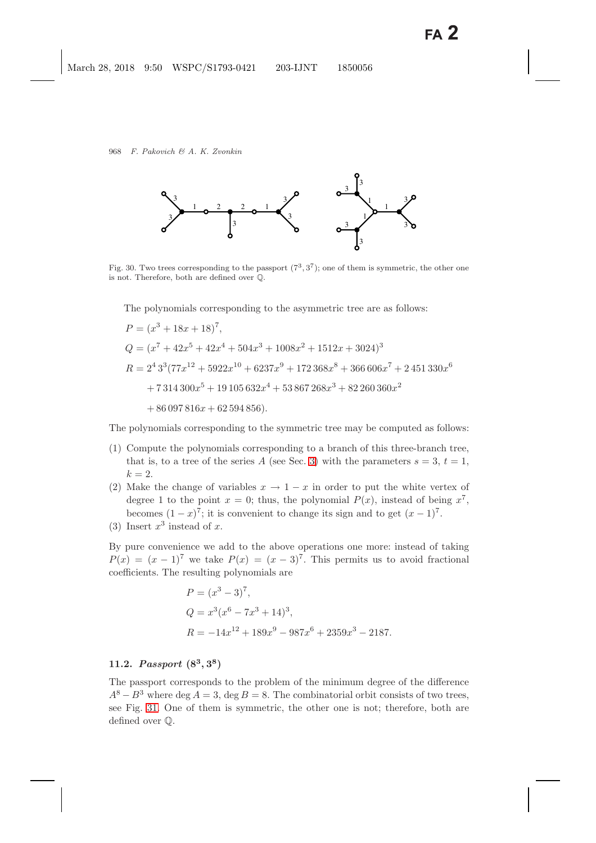

<span id="page-43-0"></span>Fig. 30. Two trees corresponding to the passport  $(7^3, 3^7)$ ; one of them is symmetric, the other one is not. Therefore, both are defined over Q.

The polynomials corresponding to the asymmetric tree are as follows:

$$
P = (x^3 + 18x + 18)^7,
$$
  
\n
$$
Q = (x^7 + 42x^5 + 42x^4 + 504x^3 + 1008x^2 + 1512x + 3024)^3
$$
  
\n
$$
R = 2^4 3^3 (77x^{12} + 5922x^{10} + 6237x^9 + 172368x^8 + 366606x^7 + 2451330x^6
$$
  
\n+ 7314300x<sup>5</sup> + 19105632x<sup>4</sup> + 53867268x<sup>3</sup> + 82260360x<sup>2</sup>  
\n+ 86097816x + 62594856).

The polynomials corresponding to the symmetric tree may be computed as follows:

- (1) Compute the polynomials corresponding to a branch of this three-branch tree, that is, to a tree of the series A (see Sec. [3\)](#page-9-3) with the parameters  $s = 3, t = 1$ ,  $k = 2$ .
- (2) Make the change of variables  $x \to 1-x$  in order to put the white vertex of degree 1 to the point  $x = 0$ ; thus, the polynomial  $P(x)$ , instead of being  $x^7$ , becomes  $(1-x)^7$ ; it is convenient to change its sign and to get  $(x-1)^7$ .
- (3) Insert  $x^3$  instead of x.

By pure convenience we add to the above operations one more: instead of taking  $P(x)=(x - 1)^7$  we take  $P(x)=(x - 3)^7$ . This permits us to avoid fractional coefficients. The resulting polynomials are

$$
P = (x3 - 3)7,
$$
  
\n
$$
Q = x3(x6 - 7x3 + 14)3,
$$
  
\n
$$
R = -14x12 + 189x9 - 987x6 + 2359x3 - 2187.
$$

## <span id="page-43-2"></span><span id="page-43-1"></span>**11.2.** *Passport* **(8<sup>3</sup>***,* **3<sup>8</sup>)**

The passport corresponds to the problem of the minimum degree of the difference  $A^{8}-B^{3}$  where deg  $A=3$ , deg  $B=8$ . The combinatorial orbit consists of two trees, see Fig. [31.](#page-44-0) One of them is symmetric, the other one is not; therefore, both are defined over Q.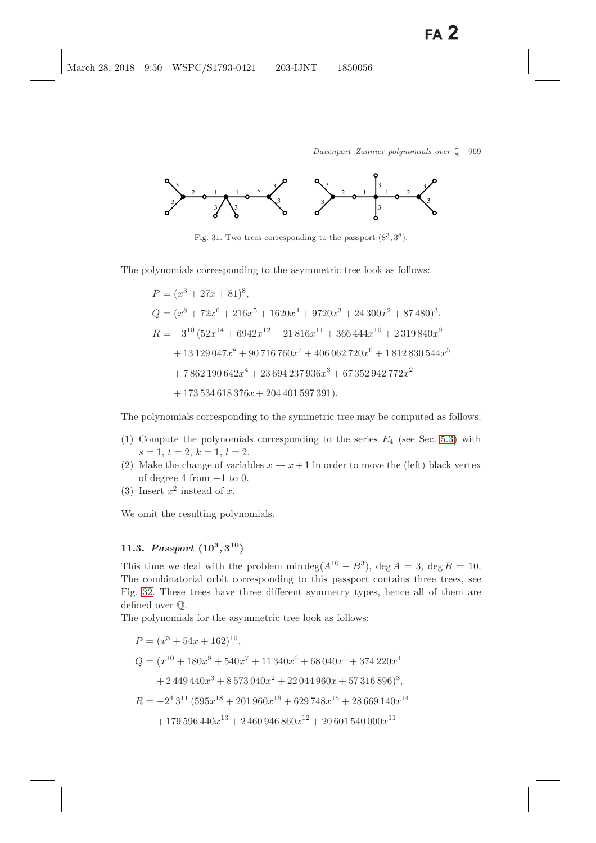

<span id="page-44-0"></span>Fig. 31. Two trees corresponding to the passport  $(8^3, 3^8)$ .

The polynomials corresponding to the asymmetric tree look as follows:

$$
P = (x^3 + 27x + 81)^8,
$$
  
\n
$$
Q = (x^8 + 72x^6 + 216x^5 + 1620x^4 + 9720x^3 + 24300x^2 + 87480)^3,
$$
  
\n
$$
R = -3^{10} (52x^{14} + 6942x^{12} + 21816x^{11} + 366444x^{10} + 2319840x^9 + 13129047x^8 + 90716760x^7 + 406062720x^6 + 1812830544x^5 + 7862190642x^4 + 23694237936x^3 + 67352942772x^2 + 173534618376x + 204401597391).
$$

The polynomials corresponding to the symmetric tree may be computed as follows:

- (1) Compute the polynomials corresponding to the series  $E_4$  (see Sec. [5.3\)](#page-17-6) with  $s = 1, t = 2, k = 1, l = 2.$
- (2) Make the change of variables  $x \to x+1$  in order to move the (left) black vertex of degree 4 from  $-1$  to 0.
- (3) Insert  $x^2$  instead of x.

We omit the resulting polynomials.

# **11.3.** *Passport* **(10<sup>3</sup>***,* **3<sup>10</sup>)**

This time we deal with the problem min deg( $A^{10} - B^3$ ), deg  $A = 3$ , deg  $B = 10$ . The combinatorial orbit corresponding to this passport contains three trees, see Fig. [32.](#page-45-0) These trees have three different symmetry types, hence all of them are defined over Q.

The polynomials for the asymmetric tree look as follows:

$$
P = (x^{3} + 54x + 162)^{10},
$$
  
\n
$$
Q = (x^{10} + 180x^{8} + 540x^{7} + 11340x^{6} + 68040x^{5} + 374220x^{4}
$$
  
\n
$$
+ 2449440x^{3} + 8573040x^{2} + 22044960x + 57316896)^{3},
$$
  
\n
$$
R = -2^{4}3^{11} (595x^{18} + 201960x^{16} + 629748x^{15} + 28669140x^{14}
$$
  
\n
$$
+ 179596440x^{13} + 2460946860x^{12} + 20601540000x^{11}
$$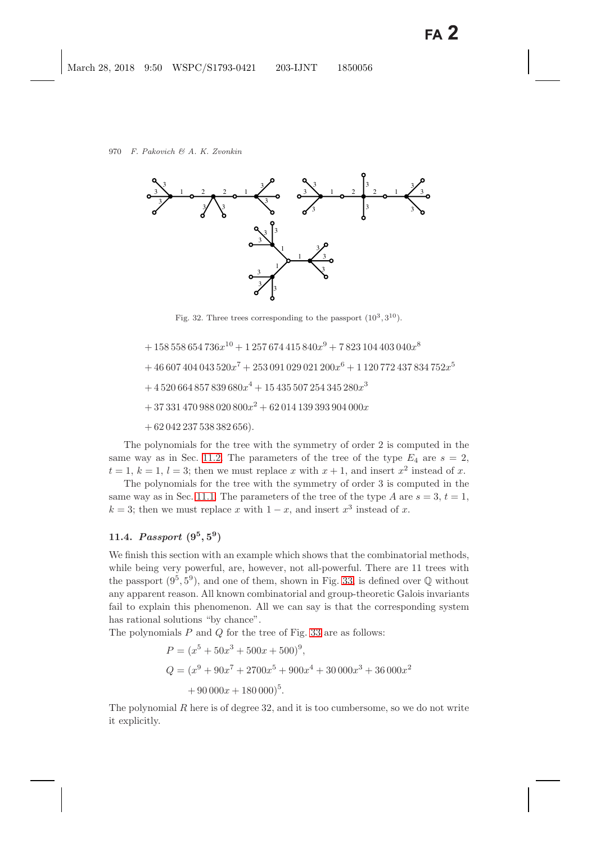

Fig. 32. Three trees corresponding to the passport  $(10^3, 3^{10})$ .

<span id="page-45-0"></span> $+ 158558654736x^{10} + 1257674415840x^{9} + 7823104403040x^{8}$ 

$$
+ \, 46\,607\,404\,043\,520x^{7} + 253\,091\,029\,021\,200x^{6} + 1\,120\,772\,437\,834\,752x^{5}
$$

$$
+ \, 4\,520\,664\,857\,839\,680x^4 + 15\,435\,507\,254\,345\,280x^3
$$

 $+ 37331470988020800x^2 + 62014139393904000x$ 

 $+ 62042237538382656$ .

The polynomials for the tree with the symmetry of order 2 is computed in the same way as in Sec. [11.2.](#page-43-1) The parameters of the tree of the type  $E_4$  are  $s = 2$ ,  $t = 1, k = 1, l = 3$ ; then we must replace x with  $x + 1$ , and insert  $x^2$  instead of x.

The polynomials for the tree with the symmetry of order 3 is computed in the same way as in Sec. [11.1.](#page-42-0) The parameters of the tree of the type A are  $s = 3$ ,  $t = 1$ ,  $k = 3$ ; then we must replace x with  $1 - x$ , and insert  $x^3$  instead of x.

# **11.4.** *Passport*  $(9^5, 5^9)$

We finish this section with an example which shows that the combinatorial methods, while being very powerful, are, however, not all-powerful. There are 11 trees with the passport  $(9^5, 5^9)$ , and one of them, shown in Fig. [33,](#page-46-1) is defined over  $\mathbb Q$  without any apparent reason. All known combinatorial and group-theoretic Galois invariants fail to explain this phenomenon. All we can say is that the corresponding system has rational solutions "by chance".

The polynomials  $P$  and  $Q$  for the tree of Fig. [33](#page-46-1) are as follows:

$$
P = (x5 + 50x3 + 500x + 500)9,
$$
  
\n
$$
Q = (x9 + 90x7 + 2700x5 + 900x4 + 30000x3 + 36000x2
$$
  
\n
$$
+ 90000x + 180000)5.
$$

The polynomial R here is of degree 32, and it is too cumbersome, so we do not write it explicitly.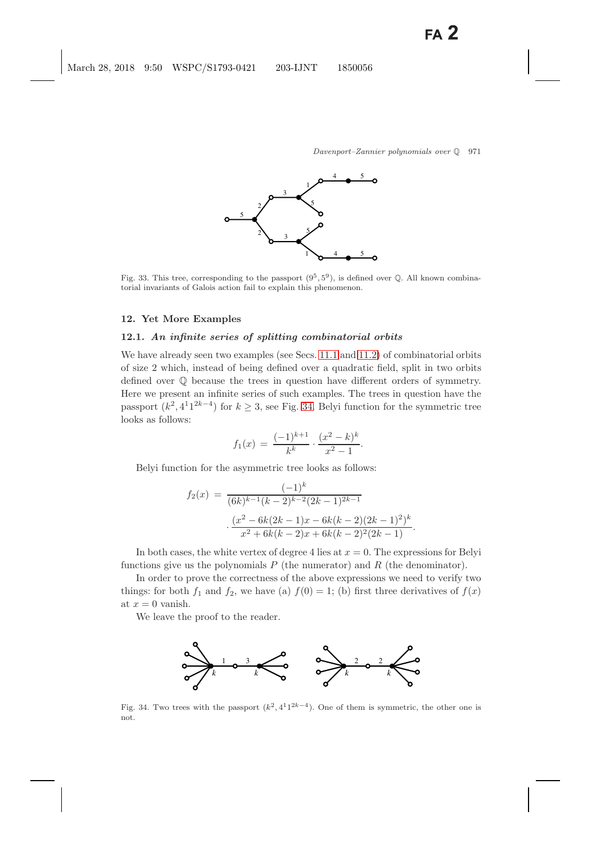

<span id="page-46-1"></span>Fig. 33. This tree, corresponding to the passport  $(9^5, 5^9)$ , is defined over  $\mathbb Q$ . All known combinatorial invariants of Galois action fail to explain this phenomenon.

#### <span id="page-46-0"></span>**12. Yet More Examples**

#### **12.1.** *An infinite series of splitting combinatorial orbits*

We have already seen two examples (see Secs. [11.1](#page-42-1) and [11.2\)](#page-43-2) of combinatorial orbits of size 2 which, instead of being defined over a quadratic field, split in two orbits defined over Q because the trees in question have different orders of symmetry. Here we present an infinite series of such examples. The trees in question have the passport  $(k^2, 4^21^{2k-4})$  for  $k \geq 3$ , see Fig. [34.](#page-46-2) Belyi function for the symmetric tree looks as follows:

$$
f_1(x) = \frac{(-1)^{k+1}}{k^k} \cdot \frac{(x^2 - k)^k}{x^2 - 1}.
$$

Belyi function for the asymmetric tree looks as follows:

$$
f_2(x) = \frac{(-1)^k}{(6k)^{k-1}(k-2)^{k-2}(2k-1)^{2k-1}}
$$

$$
\cdot \frac{(x^2 - 6k(2k-1)x - 6k(k-2)(2k-1)^2)^k}{x^2 + 6k(k-2)x + 6k(k-2)^2(2k-1)}.
$$

In both cases, the white vertex of degree 4 lies at  $x = 0$ . The expressions for Belyi functions give us the polynomials  $P$  (the numerator) and  $R$  (the denominator).

In order to prove the correctness of the above expressions we need to verify two things: for both  $f_1$  and  $f_2$ , we have (a)  $f(0) = 1$ ; (b) first three derivatives of  $f(x)$ at  $x = 0$  vanish.

We leave the proof to the reader.



<span id="page-46-2"></span>Fig. 34. Two trees with the passport  $(k^2, 4^11^{2k-4})$ . One of them is symmetric, the other one is not.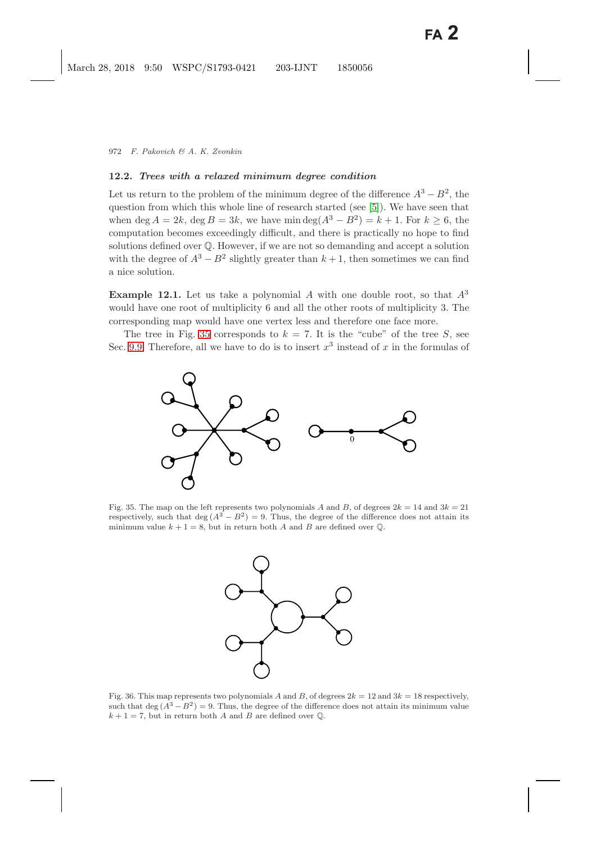### **12.2.** *Trees with a relaxed minimum degree condition*

Let us return to the problem of the minimum degree of the difference  $A^3 - B^2$ , the question from which this whole line of research started (see [\[5\]](#page-48-1)). We have seen that when deg  $A = 2k$ , deg  $B = 3k$ , we have min deg( $A^3 - B^2$ ) = k + 1. For  $k \ge 6$ , the computation becomes exceedingly difficult, and there is practically no hope to find solutions defined over Q. However, if we are not so demanding and accept a solution with the degree of  $A^3 - B^2$  slightly greater than  $k + 1$ , then sometimes we can find a nice solution.

**Example 12.1.** Let us take a polynomial A with one double root, so that  $A^3$ would have one root of multiplicity 6 and all the other roots of multiplicity 3. The corresponding map would have one vertex less and therefore one face more.

The tree in Fig. [35](#page-47-0) corresponds to  $k = 7$ . It is the "cube" of the tree S, see Sec. [9.9.](#page-37-3) Therefore, all we have to do is to insert  $x^3$  instead of x in the formulas of



<span id="page-47-0"></span>Fig. 35. The map on the left represents two polynomials A and B, of degrees  $2k = 14$  and  $3k = 21$ respectively, such that deg  $(A^3 - B^2) = 9$ . Thus, the degree of the difference does not attain its minimum value  $k + 1 = 8$ , but in return both *A* and *B* are defined over  $\mathbb{Q}$ .



<span id="page-47-1"></span>Fig. 36. This map represents two polynomials *A* and *B*, of degrees  $2k = 12$  and  $3k = 18$  respectively, such that deg  $(A^3 - B^2) = 9$ . Thus, the degree of the difference does not attain its minimum value  $k + 1 = 7$ , but in return both *A* and *B* are defined over  $\mathbb{Q}$ .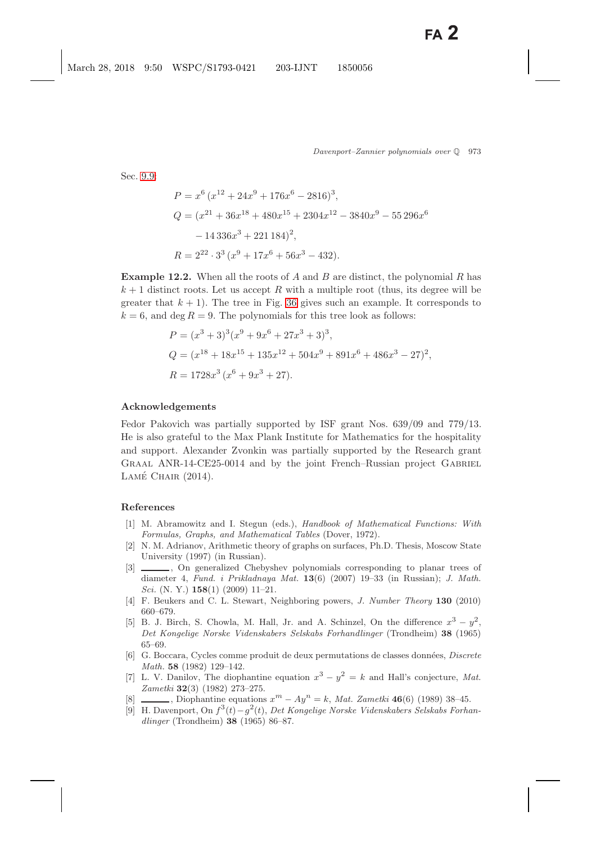Sec. [9.9:](#page-37-4)

$$
P = x^{6} (x^{12} + 24x^{9} + 176x^{6} - 2816)^{3},
$$
  
\n
$$
Q = (x^{21} + 36x^{18} + 480x^{15} + 2304x^{12} - 3840x^{9} - 55296x^{6}
$$
  
\n
$$
- 14336x^{3} + 221184)^{2},
$$
  
\n
$$
R = 2^{22} \cdot 3^{3} (x^{9} + 17x^{6} + 56x^{3} - 432).
$$

**Example 12.2.** When all the roots of A and B are distinct, the polynomial R has  $k+1$  distinct roots. Let us accept R with a multiple root (thus, its degree will be greater that  $k + 1$ . The tree in Fig. [36](#page-47-1) gives such an example. It corresponds to  $k = 6$ , and deg  $R = 9$ . The polynomials for this tree look as follows:

$$
P = (x^3 + 3)^3 (x^9 + 9x^6 + 27x^3 + 3)^3,
$$
  
\n
$$
Q = (x^{18} + 18x^{15} + 135x^{12} + 504x^9 + 891x^6 + 486x^3 - 27)^2,
$$
  
\n
$$
R = 1728x^3 (x^6 + 9x^3 + 27).
$$

#### **Acknowledgements**

Fedor Pakovich was partially supported by ISF grant Nos. 639/09 and 779/13. He is also grateful to the Max Plank Institute for Mathematics for the hospitality and support. Alexander Zvonkin was partially supported by the Research grant GRAAL ANR-14-CE25-0014 and by the joint French–Russian project GABRIEL LAMÉ CHAIR (2014).

#### <span id="page-48-9"></span><span id="page-48-0"></span>**References**

- [1] M. Abramowitz and I. Stegun (eds.), *Handbook of Mathematical Functions: With Formulas, Graphs, and Mathematical Tables* (Dover, 1972).
- <span id="page-48-6"></span>[2] N. M. Adrianov, Arithmetic theory of graphs on surfaces, Ph.D. Thesis, Moscow State University (1997) (in Russian).
- <span id="page-48-10"></span>[3]  $\qquad \qquad$ , On generalized Chebyshev polynomials corresponding to planar trees of diameter 4, *Fund. i Prikladnaya Mat.* **13**(6) (2007) 19–33 (in Russian); *J. Math. Sci.* (N. Y.) **158**(1) (2009) 11–21.
- <span id="page-48-7"></span><span id="page-48-4"></span>[4] F. Beukers and C. L. Stewart, Neighboring powers, *J. Number Theory* **130** (2010) 660–679.
- <span id="page-48-1"></span>[5] B. J. Birch, S. Chowla, M. Hall, Jr. and A. Schinzel, On the difference  $x^3 - y^2$ , *Det Kongelige Norske Videnskabers Selskabs Forhandlinger* (Trondheim) **38** (1965) 65–69.
- <span id="page-48-3"></span>[6] G. Boccara, Cycles comme produit de deux permutations de classes donn´ees, *Discrete Math.* **58** (1982) 129–142.
- <span id="page-48-8"></span>[7] L. V. Danilov, The diophantine equation  $x^3 - y^2 = k$  and Hall's conjecture, *Mat. Zametki* **32**(3) (1982) 273–275.
- <span id="page-48-5"></span><span id="page-48-2"></span>[8] , Diophantine equations *<sup>x</sup>*<sup>m</sup> *<sup>−</sup> Ay*<sup>n</sup> <sup>=</sup> *<sup>k</sup>*, *Mat. Zametki* **<sup>46</sup>**(6) (1989) 38–45.
- [9] H. Davenport, On *f*3(*t*)*−g*2(*t*), *Det Kongelige Norske Videnskabers Selskabs Forhandlinger* (Trondheim) **38** (1965) 86–87.